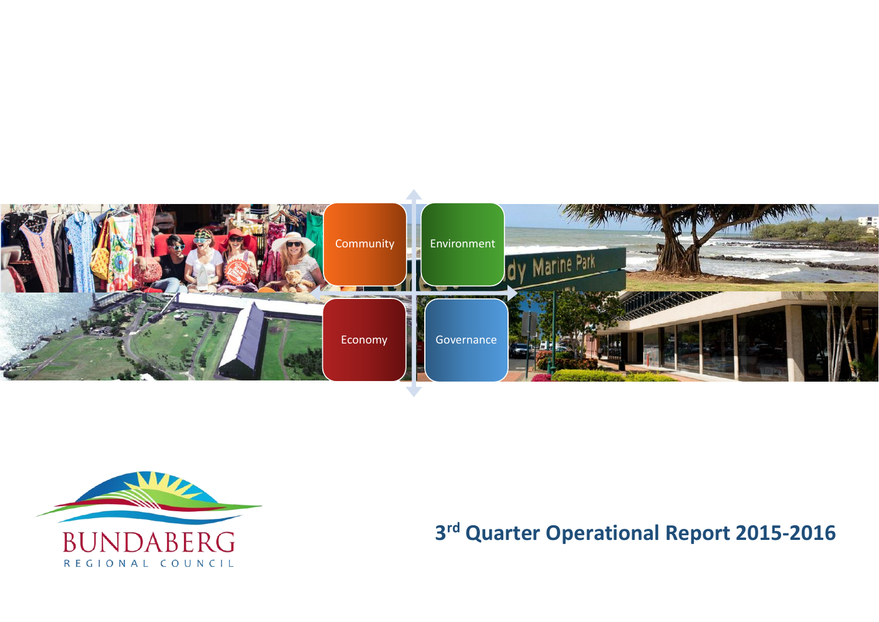



**3 rd Quarter Operational Report 2015-2016**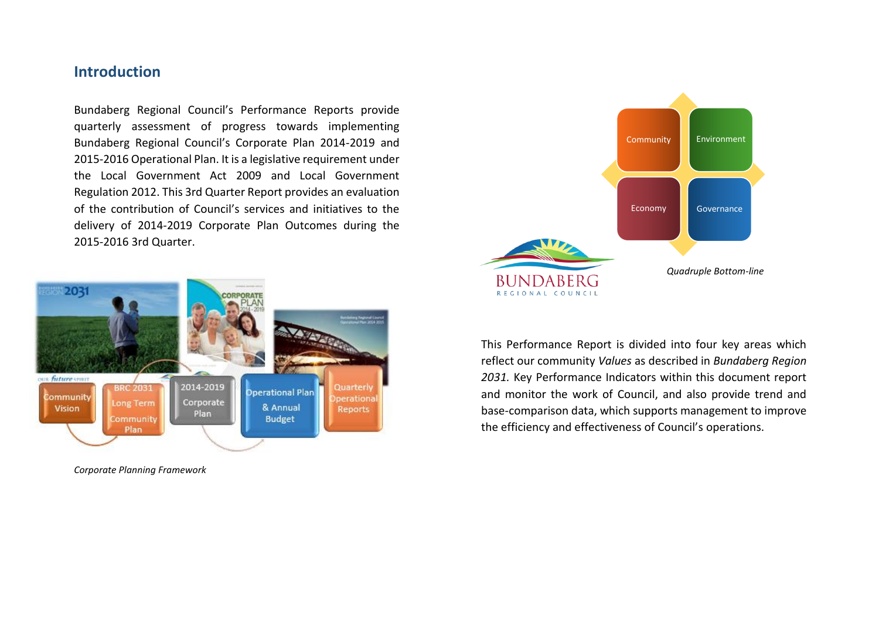## **Introduction**

Bundaberg Regional Council's Performance Reports provide quarterly assessment of progress towards implementing Bundaberg Regional Council's Corporate Plan 2014-2019 and 2015-2016 Operational Plan. It is a legislative requirement under the Local Government Act 2009 and Local Government Regulation 2012. This 3rd Quarter Report provides an evaluation of the contribution of Council's services and initiatives to the delivery of 2014-2019 Corporate Plan Outcomes during the 2015-2016 3rd Quarter.



*Corporate Planning Framework* 



This Performance Report is divided into four key areas which reflect our community *Values* as described in *Bundaberg Region 2031.* Key Performance Indicators within this document report and monitor the work of Council, and also provide trend and base-comparison data, which supports management to improve the efficiency and effectiveness of Council's operations.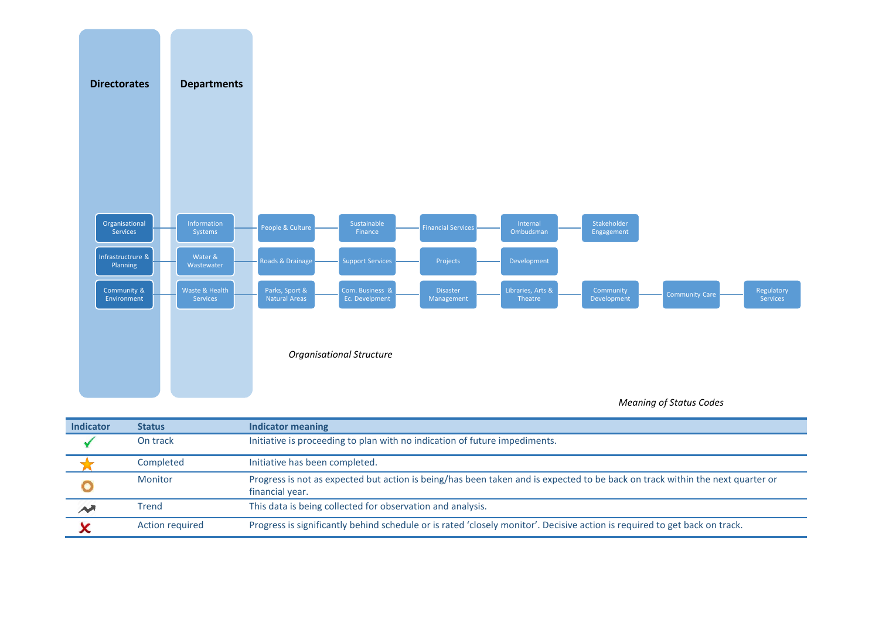

### *Meaning of Status Codes*

| <b>Indicator</b>         | <b>Status</b>   | <b>Indicator meaning</b>                                                                                                                         |
|--------------------------|-----------------|--------------------------------------------------------------------------------------------------------------------------------------------------|
|                          | On track        | Initiative is proceeding to plan with no indication of future impediments.                                                                       |
|                          | Completed       | Initiative has been completed.                                                                                                                   |
|                          | <b>Monitor</b>  | Progress is not as expected but action is being/has been taken and is expected to be back on track within the next quarter or<br>financial year. |
| $\overline{\phantom{a}}$ | <b>Trend</b>    | This data is being collected for observation and analysis.                                                                                       |
|                          | Action required | Progress is significantly behind schedule or is rated 'closely monitor'. Decisive action is required to get back on track.                       |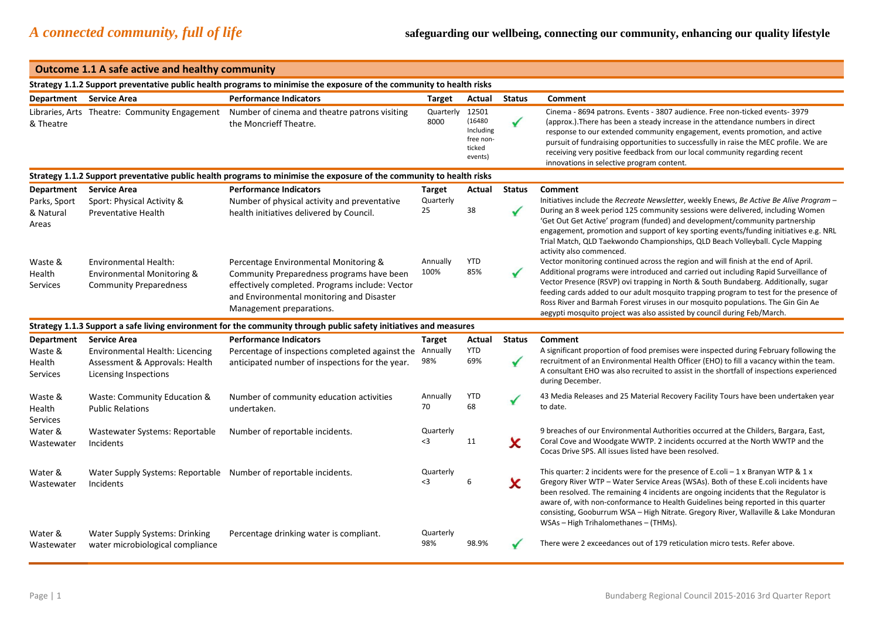### **Outcome 1.1 A safe active and healthy community**

|                                             |                                                                                                                          | Strategy 1.1.2 Support preventative public health programs to minimise the exposure of the community to health risks                                                                                           |                                  |                                                                |                    |                                                                                                                                                                                                                                                                                                                                                                                                                                                                                                                           |
|---------------------------------------------|--------------------------------------------------------------------------------------------------------------------------|----------------------------------------------------------------------------------------------------------------------------------------------------------------------------------------------------------------|----------------------------------|----------------------------------------------------------------|--------------------|---------------------------------------------------------------------------------------------------------------------------------------------------------------------------------------------------------------------------------------------------------------------------------------------------------------------------------------------------------------------------------------------------------------------------------------------------------------------------------------------------------------------------|
| Department Service Area                     |                                                                                                                          | <b>Performance Indicators</b>                                                                                                                                                                                  | Target                           | Actual                                                         | <b>Status</b>      | Comment                                                                                                                                                                                                                                                                                                                                                                                                                                                                                                                   |
| & Theatre                                   | Libraries, Arts Theatre: Community Engagement                                                                            | Number of cinema and theatre patrons visiting<br>the Moncrieff Theatre.                                                                                                                                        | Quarterly<br>8000                | 12501<br>(16480<br>Including<br>free non-<br>ticked<br>events) | $\checkmark$       | Cinema - 8694 patrons. Events - 3807 audience. Free non-ticked events- 3979<br>(approx.). There has been a steady increase in the attendance numbers in direct<br>response to our extended community engagement, events promotion, and active<br>pursuit of fundraising opportunities to successfully in raise the MEC profile. We are<br>receiving very positive feedback from our local community regarding recent<br>innovations in selective program content.                                                         |
|                                             |                                                                                                                          | Strategy 1.1.2 Support preventative public health programs to minimise the exposure of the community to health risks                                                                                           |                                  |                                                                |                    |                                                                                                                                                                                                                                                                                                                                                                                                                                                                                                                           |
| <b>Department</b>                           | <b>Service Area</b>                                                                                                      | <b>Performance Indicators</b>                                                                                                                                                                                  | <b>Target</b>                    | Actual                                                         | <b>Status</b>      | Comment                                                                                                                                                                                                                                                                                                                                                                                                                                                                                                                   |
| Parks, Sport<br>& Natural<br>Areas          | Sport: Physical Activity &<br><b>Preventative Health</b>                                                                 | Number of physical activity and preventative<br>health initiatives delivered by Council.                                                                                                                       | Quarterly<br>25                  | 38                                                             |                    | Initiatives include the Recreate Newsletter, weekly Enews, Be Active Be Alive Program -<br>During an 8 week period 125 community sessions were delivered, including Women<br>'Get Out Get Active' program (funded) and development/community partnership<br>engagement, promotion and support of key sporting events/funding initiatives e.g. NRL<br>Trial Match, QLD Taekwondo Championships, QLD Beach Volleyball. Cycle Mapping<br>activity also commenced.                                                            |
| Waste &<br>Health<br>Services               | Environmental Health:<br>Environmental Monitoring &<br><b>Community Preparedness</b>                                     | Percentage Environmental Monitoring &<br>Community Preparedness programs have been<br>effectively completed. Programs include: Vector<br>and Environmental monitoring and Disaster<br>Management preparations. | Annually<br>100%                 | <b>YTD</b><br>85%                                              | $\checkmark$       | Vector monitoring continued across the region and will finish at the end of April.<br>Additional programs were introduced and carried out including Rapid Surveillance of<br>Vector Presence (RSVP) ovi trapping in North & South Bundaberg. Additionally, sugar<br>feeding cards added to our adult mosquito trapping program to test for the presence of<br>Ross River and Barmah Forest viruses in our mosquito populations. The Gin Gin Ae<br>aegypti mosquito project was also assisted by council during Feb/March. |
|                                             |                                                                                                                          | Strategy 1.1.3 Support a safe living environment for the community through public safety initiatives and measures                                                                                              |                                  |                                                                |                    |                                                                                                                                                                                                                                                                                                                                                                                                                                                                                                                           |
| Department<br>Waste &<br>Health<br>Services | <b>Service Area</b><br>Environmental Health: Licencing<br>Assessment & Approvals: Health<br><b>Licensing Inspections</b> | <b>Performance Indicators</b><br>Percentage of inspections completed against the<br>anticipated number of inspections for the year.                                                                            | <b>Target</b><br>Annually<br>98% | Actual<br><b>YTD</b><br>69%                                    | <b>Status</b><br>✔ | Comment<br>A significant proportion of food premises were inspected during February following the<br>recruitment of an Environmental Health Officer (EHO) to fill a vacancy within the team.<br>A consultant EHO was also recruited to assist in the shortfall of inspections experienced<br>during December.                                                                                                                                                                                                             |
| Waste &<br>Health<br>Services               | Waste: Community Education &<br><b>Public Relations</b>                                                                  | Number of community education activities<br>undertaken.                                                                                                                                                        | Annually<br>70                   | <b>YTD</b><br>68                                               |                    | 43 Media Releases and 25 Material Recovery Facility Tours have been undertaken year<br>to date.                                                                                                                                                                                                                                                                                                                                                                                                                           |
| Water &<br>Wastewater                       | Wastewater Systems: Reportable<br>Incidents                                                                              | Number of reportable incidents.                                                                                                                                                                                | Quarterly<br>$\leq$ 3            | 11                                                             | x                  | 9 breaches of our Environmental Authorities occurred at the Childers, Bargara, East,<br>Coral Cove and Woodgate WWTP. 2 incidents occurred at the North WWTP and the<br>Cocas Drive SPS. All issues listed have been resolved.                                                                                                                                                                                                                                                                                            |
| Water &<br>Wastewater                       | Water Supply Systems: Reportable Number of reportable incidents.<br>Incidents                                            |                                                                                                                                                                                                                | Quarterly<br>$\leq$ 3            | 6                                                              | x                  | This quarter: 2 incidents were for the presence of E.coli $-1 \times$ Branyan WTP & 1 x<br>Gregory River WTP - Water Service Areas (WSAs). Both of these E.coli incidents have<br>been resolved. The remaining 4 incidents are ongoing incidents that the Regulator is<br>aware of, with non-conformance to Health Guidelines being reported in this quarter<br>consisting, Gooburrum WSA - High Nitrate. Gregory River, Wallaville & Lake Monduran<br>WSAs - High Trihalomethanes - (THMs).                              |
| Water &<br>Wastewater                       | <b>Water Supply Systems: Drinking</b><br>water microbiological compliance                                                | Percentage drinking water is compliant.                                                                                                                                                                        | Quarterly<br>98%                 | 98.9%                                                          |                    | There were 2 exceedances out of 179 reticulation micro tests. Refer above.                                                                                                                                                                                                                                                                                                                                                                                                                                                |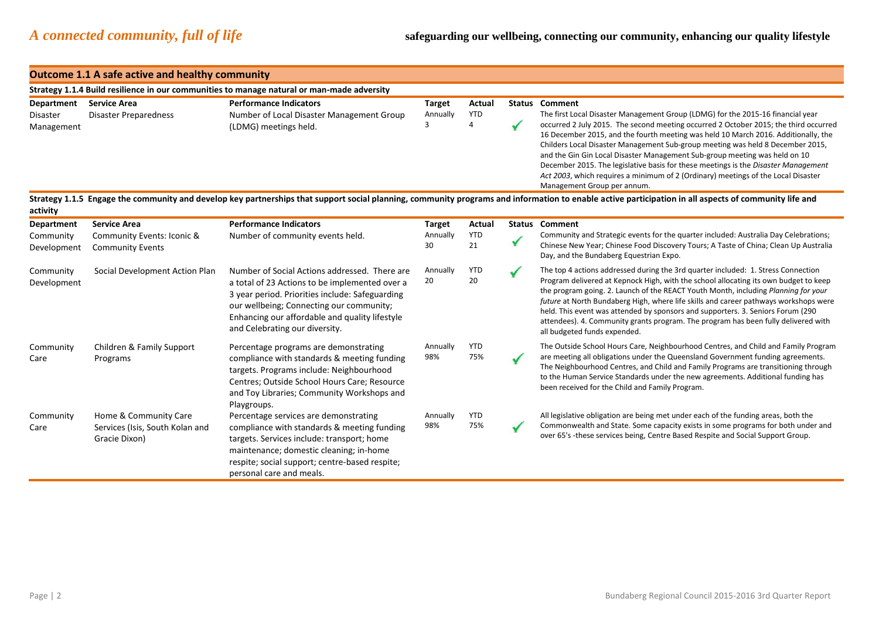|                                        | <b>Outcome 1.1 A safe active and healthy community</b>                       |                                                                                                                                                                                                                                                                                    |                                |                                  |              |                                                                                                                                                                                                                                                                                                                                                                                                                                                                                                                                                                                                                                                                  |
|----------------------------------------|------------------------------------------------------------------------------|------------------------------------------------------------------------------------------------------------------------------------------------------------------------------------------------------------------------------------------------------------------------------------|--------------------------------|----------------------------------|--------------|------------------------------------------------------------------------------------------------------------------------------------------------------------------------------------------------------------------------------------------------------------------------------------------------------------------------------------------------------------------------------------------------------------------------------------------------------------------------------------------------------------------------------------------------------------------------------------------------------------------------------------------------------------------|
|                                        |                                                                              | Strategy 1.1.4 Build resilience in our communities to manage natural or man-made adversity                                                                                                                                                                                         |                                |                                  |              |                                                                                                                                                                                                                                                                                                                                                                                                                                                                                                                                                                                                                                                                  |
| Department<br>Disaster<br>Management   | <b>Service Area</b><br><b>Disaster Preparedness</b>                          | <b>Performance Indicators</b><br>Number of Local Disaster Management Group<br>(LDMG) meetings held.                                                                                                                                                                                | <b>Target</b><br>Annually<br>3 | Actual<br><b>YTD</b><br>$\Delta$ | $\checkmark$ | <b>Status Comment</b><br>The first Local Disaster Management Group (LDMG) for the 2015-16 financial year<br>occurred 2 July 2015. The second meeting occurred 2 October 2015; the third occurred<br>16 December 2015, and the fourth meeting was held 10 March 2016. Additionally, the<br>Childers Local Disaster Management Sub-group meeting was held 8 December 2015,<br>and the Gin Gin Local Disaster Management Sub-group meeting was held on 10<br>December 2015. The legislative basis for these meetings is the Disaster Management<br>Act 2003, which requires a minimum of 2 (Ordinary) meetings of the Local Disaster<br>Management Group per annum. |
| activity                               |                                                                              |                                                                                                                                                                                                                                                                                    |                                |                                  |              | Strategy 1.1.5 Engage the community and develop key partnerships that support social planning, community programs and information to enable active participation in all aspects of community life and                                                                                                                                                                                                                                                                                                                                                                                                                                                            |
| Department<br>Community<br>Development | <b>Service Area</b><br>Community Events: Iconic &<br><b>Community Events</b> | <b>Performance Indicators</b><br>Number of community events held.                                                                                                                                                                                                                  | Target<br>Annually<br>30       | Actual<br><b>YTD</b><br>21       | ✔            | <b>Status Comment</b><br>Community and Strategic events for the quarter included: Australia Day Celebrations;<br>Chinese New Year; Chinese Food Discovery Tours; A Taste of China; Clean Up Australia<br>Day, and the Bundaberg Equestrian Expo.                                                                                                                                                                                                                                                                                                                                                                                                                 |
| Community<br>Development               | Social Development Action Plan                                               | Number of Social Actions addressed. There are<br>a total of 23 Actions to be implemented over a<br>3 year period. Priorities include: Safeguarding<br>our wellbeing; Connecting our community;<br>Enhancing our affordable and quality lifestyle<br>and Celebrating our diversity. | Annually<br>20                 | <b>YTD</b><br>20                 |              | The top 4 actions addressed during the 3rd quarter included: 1. Stress Connection<br>Program delivered at Kepnock High, with the school allocating its own budget to keep<br>the program going. 2. Launch of the REACT Youth Month, including Planning for your<br>future at North Bundaberg High, where life skills and career pathways workshops were<br>held. This event was attended by sponsors and supporters. 3. Seniors Forum (290<br>attendees). 4. Community grants program. The program has been fully delivered with<br>all budgeted funds expended.                                                                                                 |
| Community<br>Care                      | Children & Family Support<br>Programs                                        | Percentage programs are demonstrating<br>compliance with standards & meeting funding<br>targets. Programs include: Neighbourhood<br>Centres; Outside School Hours Care; Resource<br>and Toy Libraries; Community Workshops and<br>Playgroups.                                      | Annually<br>98%                | <b>YTD</b><br>75%                |              | The Outside School Hours Care, Neighbourhood Centres, and Child and Family Program<br>are meeting all obligations under the Queensland Government funding agreements.<br>The Neighbourhood Centres, and Child and Family Programs are transitioning through<br>to the Human Service Standards under the new agreements. Additional funding has<br>been received for the Child and Family Program.                                                                                                                                                                                                                                                                |
| Community<br>Care                      | Home & Community Care<br>Services (Isis, South Kolan and<br>Gracie Dixon)    | Percentage services are demonstrating<br>compliance with standards & meeting funding<br>targets. Services include: transport; home<br>maintenance; domestic cleaning; in-home<br>respite; social support; centre-based respite;<br>personal care and meals.                        | Annually<br>98%                | <b>YTD</b><br>75%                |              | All legislative obligation are being met under each of the funding areas, both the<br>Commonwealth and State. Some capacity exists in some programs for both under and<br>over 65's -these services being, Centre Based Respite and Social Support Group.                                                                                                                                                                                                                                                                                                                                                                                                        |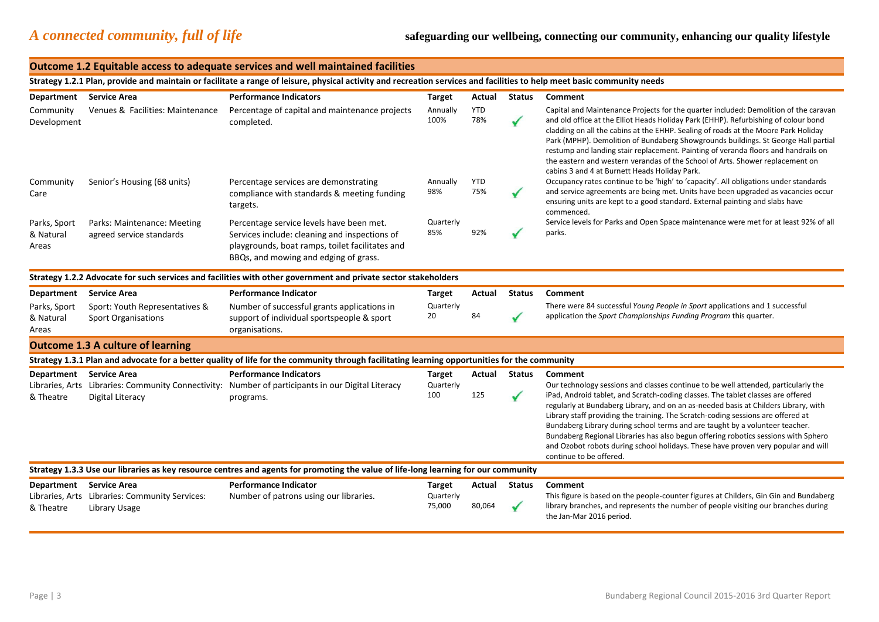|                                      |                                                                                                                                                                         | Outcome 1.2 Equitable access to adequate services and well maintained facilities                                                                                                      |                                      |                   |                               |                                                                                                                                                                                                                                                                                                                                                                                                                                                                                                                                                                                 |  |  |  |
|--------------------------------------|-------------------------------------------------------------------------------------------------------------------------------------------------------------------------|---------------------------------------------------------------------------------------------------------------------------------------------------------------------------------------|--------------------------------------|-------------------|-------------------------------|---------------------------------------------------------------------------------------------------------------------------------------------------------------------------------------------------------------------------------------------------------------------------------------------------------------------------------------------------------------------------------------------------------------------------------------------------------------------------------------------------------------------------------------------------------------------------------|--|--|--|
|                                      | Strategy 1.2.1 Plan, provide and maintain or facilitate a range of leisure, physical activity and recreation services and facilities to help meet basic community needs |                                                                                                                                                                                       |                                      |                   |                               |                                                                                                                                                                                                                                                                                                                                                                                                                                                                                                                                                                                 |  |  |  |
| Department                           | <b>Service Area</b>                                                                                                                                                     | <b>Performance Indicators</b>                                                                                                                                                         | <b>Target</b>                        | Actual            | <b>Status</b>                 | Comment                                                                                                                                                                                                                                                                                                                                                                                                                                                                                                                                                                         |  |  |  |
| Community<br>Development             | Venues & Facilities: Maintenance                                                                                                                                        | Percentage of capital and maintenance projects<br>completed.                                                                                                                          | Annually<br>100%                     | <b>YTD</b><br>78% | $\checkmark$                  | Capital and Maintenance Projects for the quarter included: Demolition of the caravan<br>and old office at the Elliot Heads Holiday Park (EHHP). Refurbishing of colour bond<br>cladding on all the cabins at the EHHP. Sealing of roads at the Moore Park Holiday<br>Park (MPHP). Demolition of Bundaberg Showgrounds buildings. St George Hall partial<br>restump and landing stair replacement. Painting of veranda floors and handrails on<br>the eastern and western verandas of the School of Arts. Shower replacement on<br>cabins 3 and 4 at Burnett Heads Holiday Park. |  |  |  |
| Community<br>Care                    | Senior's Housing (68 units)                                                                                                                                             | Percentage services are demonstrating<br>compliance with standards & meeting funding<br>targets.                                                                                      | Annually<br>98%                      | <b>YTD</b><br>75% |                               | Occupancy rates continue to be 'high' to 'capacity'. All obligations under standards<br>and service agreements are being met. Units have been upgraded as vacancies occur<br>ensuring units are kept to a good standard. External painting and slabs have<br>commenced.                                                                                                                                                                                                                                                                                                         |  |  |  |
| Parks, Sport<br>& Natural<br>Areas   | Parks: Maintenance: Meeting<br>agreed service standards                                                                                                                 | Percentage service levels have been met.<br>Services include: cleaning and inspections of<br>playgrounds, boat ramps, toilet facilitates and<br>BBQs, and mowing and edging of grass. | Quarterly<br>85%                     | 92%               |                               | Service levels for Parks and Open Space maintenance were met for at least 92% of all<br>parks.                                                                                                                                                                                                                                                                                                                                                                                                                                                                                  |  |  |  |
|                                      |                                                                                                                                                                         | Strategy 1.2.2 Advocate for such services and facilities with other government and private sector stakeholders                                                                        |                                      |                   |                               |                                                                                                                                                                                                                                                                                                                                                                                                                                                                                                                                                                                 |  |  |  |
| Department                           | <b>Service Area</b>                                                                                                                                                     | <b>Performance Indicator</b>                                                                                                                                                          | <b>Target</b>                        | Actual            | <b>Status</b>                 | Comment                                                                                                                                                                                                                                                                                                                                                                                                                                                                                                                                                                         |  |  |  |
| Parks, Sport<br>& Natural<br>Areas   | Sport: Youth Representatives &<br><b>Sport Organisations</b>                                                                                                            | Number of successful grants applications in<br>support of individual sportspeople & sport<br>organisations.                                                                           | Quarterly<br>20                      | 84                |                               | There were 84 successful Young People in Sport applications and 1 successful<br>application the Sport Championships Funding Program this quarter.                                                                                                                                                                                                                                                                                                                                                                                                                               |  |  |  |
|                                      | <b>Outcome 1.3 A culture of learning</b>                                                                                                                                |                                                                                                                                                                                       |                                      |                   |                               |                                                                                                                                                                                                                                                                                                                                                                                                                                                                                                                                                                                 |  |  |  |
|                                      |                                                                                                                                                                         | Strategy 1.3.1 Plan and advocate for a better quality of life for the community through facilitating learning opportunities for the community                                         |                                      |                   |                               |                                                                                                                                                                                                                                                                                                                                                                                                                                                                                                                                                                                 |  |  |  |
| Department Service Area<br>& Theatre | Libraries, Arts Libraries: Community Connectivity:<br>Digital Literacy                                                                                                  | <b>Performance Indicators</b><br>Number of participants in our Digital Literacy<br>programs.                                                                                          | <b>Target</b><br>Quarterly<br>100    | Actual<br>125     | <b>Status</b><br>$\checkmark$ | Comment<br>Our technology sessions and classes continue to be well attended, particularly the<br>iPad, Android tablet, and Scratch-coding classes. The tablet classes are offered<br>regularly at Bundaberg Library, and on an as-needed basis at Childers Library, with<br>Library staff providing the training. The Scratch-coding sessions are offered at                                                                                                                                                                                                                    |  |  |  |
|                                      |                                                                                                                                                                         |                                                                                                                                                                                       |                                      |                   |                               | Bundaberg Library during school terms and are taught by a volunteer teacher.<br>Bundaberg Regional Libraries has also begun offering robotics sessions with Sphero<br>and Ozobot robots during school holidays. These have proven very popular and will<br>continue to be offered.                                                                                                                                                                                                                                                                                              |  |  |  |
|                                      |                                                                                                                                                                         | Strategy 1.3.3 Use our libraries as key resource centres and agents for promoting the value of life-long learning for our community                                                   |                                      |                   |                               |                                                                                                                                                                                                                                                                                                                                                                                                                                                                                                                                                                                 |  |  |  |
| Department Service Area<br>& Theatre | Libraries, Arts Libraries: Community Services:<br>Library Usage                                                                                                         | <b>Performance Indicator</b><br>Number of patrons using our libraries.                                                                                                                | <b>Target</b><br>Quarterly<br>75,000 | Actual<br>80,064  | <b>Status</b>                 | Comment<br>This figure is based on the people-counter figures at Childers, Gin Gin and Bundaberg<br>library branches, and represents the number of people visiting our branches during<br>the Jan-Mar 2016 period.                                                                                                                                                                                                                                                                                                                                                              |  |  |  |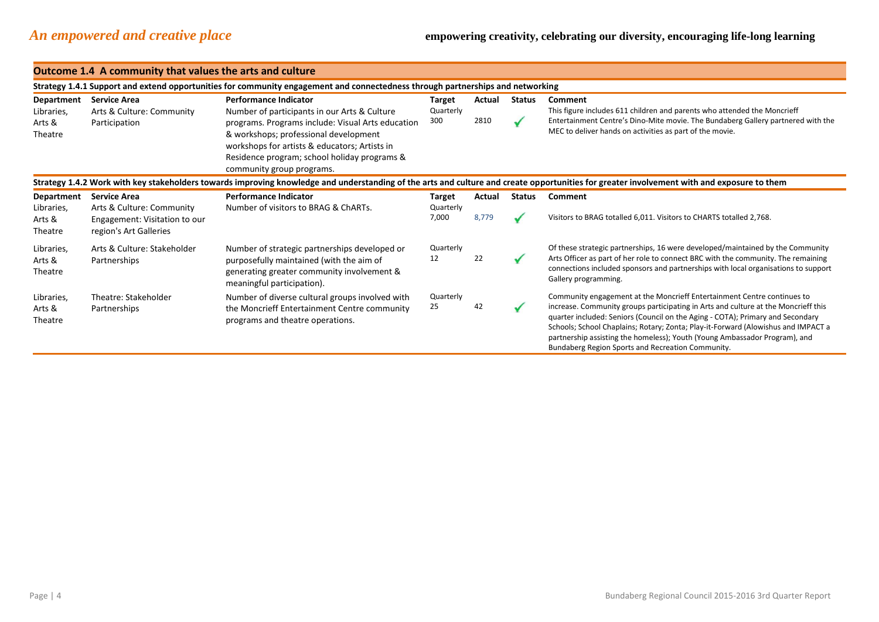|                                                                                                                                                                                            | Outcome 1.4 A community that values the arts and culture                                                                       |                                                                                                                                                                                                                                                                                                          |                              |                 |                               |                                                                                                                                                                                                                                                                                                                                                                                                                                                                         |  |  |  |  |
|--------------------------------------------------------------------------------------------------------------------------------------------------------------------------------------------|--------------------------------------------------------------------------------------------------------------------------------|----------------------------------------------------------------------------------------------------------------------------------------------------------------------------------------------------------------------------------------------------------------------------------------------------------|------------------------------|-----------------|-------------------------------|-------------------------------------------------------------------------------------------------------------------------------------------------------------------------------------------------------------------------------------------------------------------------------------------------------------------------------------------------------------------------------------------------------------------------------------------------------------------------|--|--|--|--|
|                                                                                                                                                                                            | Strategy 1.4.1 Support and extend opportunities for community engagement and connectedness through partnerships and networking |                                                                                                                                                                                                                                                                                                          |                              |                 |                               |                                                                                                                                                                                                                                                                                                                                                                                                                                                                         |  |  |  |  |
| Department<br>Libraries,<br>Arts &<br>Theatre                                                                                                                                              | <b>Service Area</b><br>Arts & Culture: Community<br>Participation                                                              | <b>Performance Indicator</b><br>Number of participants in our Arts & Culture<br>programs. Programs include: Visual Arts education<br>& workshops; professional development<br>workshops for artists & educators; Artists in<br>Residence program; school holiday programs &<br>community group programs. | Target<br>Quarterly<br>300   | Actual<br>2810  | <b>Status</b><br>✔            | Comment<br>This figure includes 611 children and parents who attended the Moncrieff<br>Entertainment Centre's Dino-Mite movie. The Bundaberg Gallery partnered with the<br>MEC to deliver hands on activities as part of the movie.                                                                                                                                                                                                                                     |  |  |  |  |
| Strategy 1.4.2 Work with key stakeholders towards improving knowledge and understanding of the arts and culture and create opportunities for greater involvement with and exposure to them |                                                                                                                                |                                                                                                                                                                                                                                                                                                          |                              |                 |                               |                                                                                                                                                                                                                                                                                                                                                                                                                                                                         |  |  |  |  |
| Department<br>Libraries,<br>Arts &<br>Theatre                                                                                                                                              | <b>Service Area</b><br>Arts & Culture: Community<br>Engagement: Visitation to our<br>region's Art Galleries                    | <b>Performance Indicator</b><br>Number of visitors to BRAG & ChARTs.                                                                                                                                                                                                                                     | Target<br>Quarterly<br>7,000 | Actual<br>8,779 | <b>Status</b><br>$\checkmark$ | Comment<br>Visitors to BRAG totalled 6,011. Visitors to CHARTS totalled 2,768.                                                                                                                                                                                                                                                                                                                                                                                          |  |  |  |  |
| Libraries,<br>Arts &<br>Theatre                                                                                                                                                            | Arts & Culture: Stakeholder<br>Partnerships                                                                                    | Number of strategic partnerships developed or<br>purposefully maintained (with the aim of<br>generating greater community involvement &<br>meaningful participation).                                                                                                                                    | Quarterly<br>12              | 22              | ✓                             | Of these strategic partnerships, 16 were developed/maintained by the Community<br>Arts Officer as part of her role to connect BRC with the community. The remaining<br>connections included sponsors and partnerships with local organisations to support<br>Gallery programming.                                                                                                                                                                                       |  |  |  |  |
| Libraries,<br>Arts &<br>Theatre                                                                                                                                                            | Theatre: Stakeholder<br>Partnerships                                                                                           | Number of diverse cultural groups involved with<br>the Moncrieff Entertainment Centre community<br>programs and theatre operations.                                                                                                                                                                      | Quarterly<br>25              | 42              | ✔                             | Community engagement at the Moncrieff Entertainment Centre continues to<br>increase. Community groups participating in Arts and culture at the Moncrieff this<br>quarter included: Seniors (Council on the Aging - COTA); Primary and Secondary<br>Schools; School Chaplains; Rotary; Zonta; Play-it-Forward (Alowishus and IMPACT a<br>partnership assisting the homeless); Youth (Young Ambassador Program), and<br>Bundaberg Region Sports and Recreation Community. |  |  |  |  |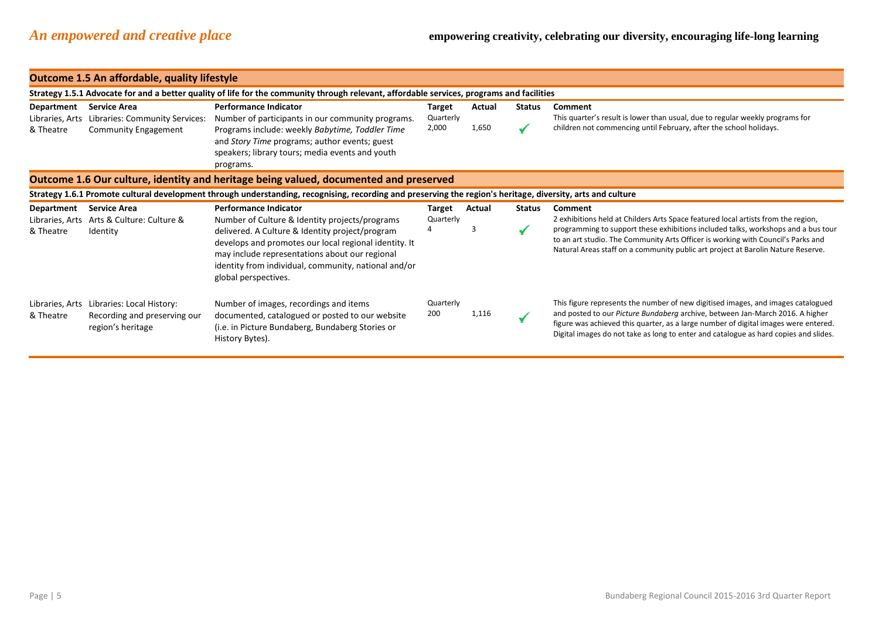|                                                                                       | <b>Outcome 1.5 An affordable, quality lifestyle</b>                                                                                       |                                                                                                                                                                                                                                                                                                                              |                     |        |               |                                                                                                                                                                                                                                                                                                                                                           |  |  |  |  |
|---------------------------------------------------------------------------------------|-------------------------------------------------------------------------------------------------------------------------------------------|------------------------------------------------------------------------------------------------------------------------------------------------------------------------------------------------------------------------------------------------------------------------------------------------------------------------------|---------------------|--------|---------------|-----------------------------------------------------------------------------------------------------------------------------------------------------------------------------------------------------------------------------------------------------------------------------------------------------------------------------------------------------------|--|--|--|--|
|                                                                                       | Strategy 1.5.1 Advocate for and a better quality of life for the community through relevant, affordable services, programs and facilities |                                                                                                                                                                                                                                                                                                                              |                     |        |               |                                                                                                                                                                                                                                                                                                                                                           |  |  |  |  |
| <b>Department</b>                                                                     | <b>Service Area</b>                                                                                                                       | <b>Performance Indicator</b>                                                                                                                                                                                                                                                                                                 | Target              | Actual | <b>Status</b> | Comment                                                                                                                                                                                                                                                                                                                                                   |  |  |  |  |
| Libraries, Arts<br>& Theatre                                                          | Libraries: Community Services:<br><b>Community Engagement</b>                                                                             | Number of participants in our community programs.<br>Programs include: weekly Babytime, Toddler Time<br>and Story Time programs; author events; guest<br>speakers; library tours; media events and youth<br>programs.                                                                                                        | Quarterly<br>2,000  | 1,650  |               | This quarter's result is lower than usual, due to regular weekly programs for<br>children not commencing until February, after the school holidays.                                                                                                                                                                                                       |  |  |  |  |
| Outcome 1.6 Our culture, identity and heritage being valued, documented and preserved |                                                                                                                                           |                                                                                                                                                                                                                                                                                                                              |                     |        |               |                                                                                                                                                                                                                                                                                                                                                           |  |  |  |  |
|                                                                                       |                                                                                                                                           | Strategy 1.6.1 Promote cultural development through understanding, recognising, recording and preserving the region's heritage, diversity, arts and culture                                                                                                                                                                  |                     |        |               |                                                                                                                                                                                                                                                                                                                                                           |  |  |  |  |
| <b>Department</b><br>& Theatre                                                        | <b>Service Area</b><br>Libraries, Arts Arts & Culture: Culture &<br>Identity                                                              | <b>Performance Indicator</b><br>Number of Culture & Identity projects/programs<br>delivered. A Culture & Identity project/program<br>develops and promotes our local regional identity. It<br>may include representations about our regional<br>identity from individual, community, national and/or<br>global perspectives. | Target<br>Quarterly | Actual | <b>Status</b> | Comment<br>2 exhibitions held at Childers Arts Space featured local artists from the region,<br>programming to support these exhibitions included talks, workshops and a bus tour<br>to an art studio. The Community Arts Officer is working with Council's Parks and<br>Natural Areas staff on a community public art project at Barolin Nature Reserve. |  |  |  |  |
| Libraries, Arts<br>& Theatre                                                          | Libraries: Local History:<br>Recording and preserving our<br>region's heritage                                                            | Number of images, recordings and items<br>documented, catalogued or posted to our website<br>(i.e. in Picture Bundaberg, Bundaberg Stories or<br>History Bytes).                                                                                                                                                             | Quarterly<br>200    | 1,116  |               | This figure represents the number of new digitised images, and images catalogued<br>and posted to our Picture Bundaberg archive, between Jan-March 2016. A higher<br>figure was achieved this quarter, as a large number of digital images were entered.<br>Digital images do not take as long to enter and catalogue as hard copies and slides.          |  |  |  |  |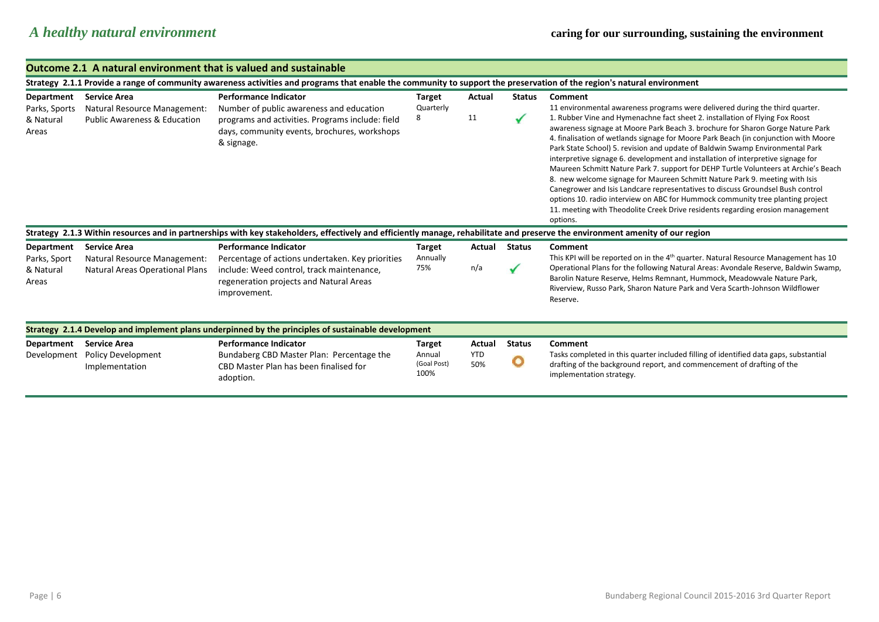|  | Outcome 2.1 A natural environment that is valued and sustainable |
|--|------------------------------------------------------------------|
|--|------------------------------------------------------------------|

|                           | Strategy 2.1.1 Provide a range of community awareness activities and programs that enable the community to support the preservation of the region's natural environment |                                                                                                                                                                                |                                                |                             |                    |                                                                                                                                                                                                                                                                                                                                                                                                                                                                                                                                                                                                                                                                                                                                                                                                                                                                    |  |  |  |
|---------------------------|-------------------------------------------------------------------------------------------------------------------------------------------------------------------------|--------------------------------------------------------------------------------------------------------------------------------------------------------------------------------|------------------------------------------------|-----------------------------|--------------------|--------------------------------------------------------------------------------------------------------------------------------------------------------------------------------------------------------------------------------------------------------------------------------------------------------------------------------------------------------------------------------------------------------------------------------------------------------------------------------------------------------------------------------------------------------------------------------------------------------------------------------------------------------------------------------------------------------------------------------------------------------------------------------------------------------------------------------------------------------------------|--|--|--|
| Department                | <b>Service Area</b>                                                                                                                                                     | <b>Performance Indicator</b>                                                                                                                                                   | <b>Target</b>                                  | Actual                      | <b>Status</b>      | Comment                                                                                                                                                                                                                                                                                                                                                                                                                                                                                                                                                                                                                                                                                                                                                                                                                                                            |  |  |  |
| Parks, Sports             | Natural Resource Management:                                                                                                                                            | Number of public awareness and education                                                                                                                                       | Quarterly                                      |                             |                    | 11 environmental awareness programs were delivered during the third quarter.                                                                                                                                                                                                                                                                                                                                                                                                                                                                                                                                                                                                                                                                                                                                                                                       |  |  |  |
| & Natural<br>Areas        | <b>Public Awareness &amp; Education</b>                                                                                                                                 | programs and activities. Programs include: field<br>days, community events, brochures, workshops<br>& signage.                                                                 | 8                                              | 11                          |                    | 1. Rubber Vine and Hymenachne fact sheet 2. installation of Flying Fox Roost<br>awareness signage at Moore Park Beach 3. brochure for Sharon Gorge Nature Park<br>4. finalisation of wetlands signage for Moore Park Beach (in conjunction with Moore<br>Park State School) 5. revision and update of Baldwin Swamp Environmental Park<br>interpretive signage 6. development and installation of interpretive signage for<br>Maureen Schmitt Nature Park 7. support for DEHP Turtle Volunteers at Archie's Beach<br>8. new welcome signage for Maureen Schmitt Nature Park 9. meeting with Isis<br>Canegrower and Isis Landcare representatives to discuss Groundsel Bush control<br>options 10. radio interview on ABC for Hummock community tree planting project<br>11. meeting with Theodolite Creek Drive residents regarding erosion management<br>options. |  |  |  |
|                           |                                                                                                                                                                         | Strategy 2.1.3 Within resources and in partnerships with key stakeholders, effectively and efficiently manage, rehabilitate and preserve the environment amenity of our region |                                                |                             |                    |                                                                                                                                                                                                                                                                                                                                                                                                                                                                                                                                                                                                                                                                                                                                                                                                                                                                    |  |  |  |
| Department                | <b>Service Area</b>                                                                                                                                                     | <b>Performance Indicator</b>                                                                                                                                                   | <b>Target</b>                                  | Actual                      | Status             | Comment                                                                                                                                                                                                                                                                                                                                                                                                                                                                                                                                                                                                                                                                                                                                                                                                                                                            |  |  |  |
| Parks, Sport              | Natural Resource Management:                                                                                                                                            | Percentage of actions undertaken. Key priorities                                                                                                                               | Annually                                       |                             |                    | This KPI will be reported on in the 4 <sup>th</sup> quarter. Natural Resource Management has 10                                                                                                                                                                                                                                                                                                                                                                                                                                                                                                                                                                                                                                                                                                                                                                    |  |  |  |
| & Natural<br>Areas        | <b>Natural Areas Operational Plans</b>                                                                                                                                  | include: Weed control, track maintenance,<br>regeneration projects and Natural Areas<br>improvement.                                                                           | 75%                                            | n/a                         |                    | Operational Plans for the following Natural Areas: Avondale Reserve, Baldwin Swamp,<br>Barolin Nature Reserve, Helms Remnant, Hummock, Meadowvale Nature Park,<br>Riverview, Russo Park, Sharon Nature Park and Vera Scarth-Johnson Wildflower<br>Reserve.                                                                                                                                                                                                                                                                                                                                                                                                                                                                                                                                                                                                         |  |  |  |
|                           |                                                                                                                                                                         | Strategy 2.1.4 Develop and implement plans underpinned by the principles of sustainable development                                                                            |                                                |                             |                    |                                                                                                                                                                                                                                                                                                                                                                                                                                                                                                                                                                                                                                                                                                                                                                                                                                                                    |  |  |  |
| Department<br>Development | <b>Service Area</b><br><b>Policy Development</b><br>Implementation                                                                                                      | <b>Performance Indicator</b><br>Bundaberg CBD Master Plan: Percentage the<br>CBD Master Plan has been finalised for<br>adoption.                                               | <b>Target</b><br>Annual<br>(Goal Post)<br>100% | Actual<br><b>YTD</b><br>50% | <b>Status</b><br>O | Comment<br>Tasks completed in this quarter included filling of identified data gaps, substantial<br>drafting of the background report, and commencement of drafting of the<br>implementation strategy.                                                                                                                                                                                                                                                                                                                                                                                                                                                                                                                                                                                                                                                             |  |  |  |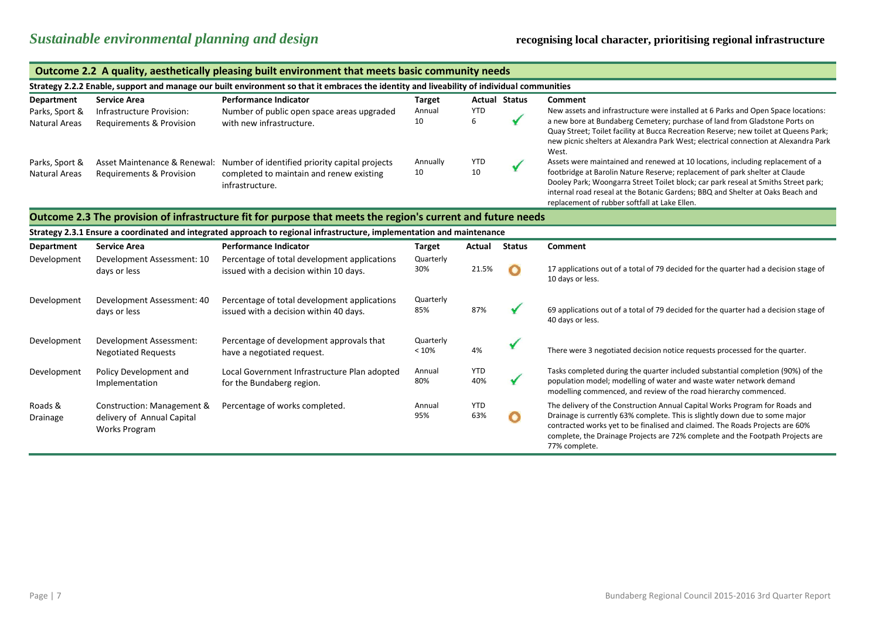|                                                                                                                                            | Outcome 2.2 A quality, aesthetically pleasing built environment that meets basic community needs             |                                                                                                                                            |                               |                   |                      |                                                                                                                                                                                                                                                                                                                                                                                        |  |  |
|--------------------------------------------------------------------------------------------------------------------------------------------|--------------------------------------------------------------------------------------------------------------|--------------------------------------------------------------------------------------------------------------------------------------------|-------------------------------|-------------------|----------------------|----------------------------------------------------------------------------------------------------------------------------------------------------------------------------------------------------------------------------------------------------------------------------------------------------------------------------------------------------------------------------------------|--|--|
| Strategy 2.2.2 Enable, support and manage our built environment so that it embraces the identity and liveability of individual communities |                                                                                                              |                                                                                                                                            |                               |                   |                      |                                                                                                                                                                                                                                                                                                                                                                                        |  |  |
| Department<br>Parks, Sport &<br><b>Natural Areas</b>                                                                                       | <b>Service Area</b><br>Infrastructure Provision:<br>Requirements & Provision                                 | <b>Performance Indicator</b><br>Number of public open space areas upgraded<br>with new infrastructure.                                     | <b>Target</b><br>Annual<br>10 | <b>YTD</b><br>6   | <b>Actual Status</b> | Comment<br>New assets and infrastructure were installed at 6 Parks and Open Space locations:<br>a new bore at Bundaberg Cemetery; purchase of land from Gladstone Ports on<br>Quay Street; Toilet facility at Bucca Recreation Reserve; new toilet at Queens Park;<br>new picnic shelters at Alexandra Park West; electrical connection at Alexandra Park<br>West.                     |  |  |
| Parks, Sport &<br><b>Natural Areas</b>                                                                                                     | Requirements & Provision                                                                                     | Asset Maintenance & Renewal: Number of identified priority capital projects<br>completed to maintain and renew existing<br>infrastructure. | Annually<br>10                | <b>YTD</b><br>10  |                      | Assets were maintained and renewed at 10 locations, including replacement of a<br>footbridge at Barolin Nature Reserve; replacement of park shelter at Claude<br>Dooley Park; Woongarra Street Toilet block; car park reseal at Smiths Street park;<br>internal road reseal at the Botanic Gardens; BBQ and Shelter at Oaks Beach and<br>replacement of rubber softfall at Lake Ellen. |  |  |
|                                                                                                                                            | Outcome 2.3 The provision of infrastructure fit for purpose that meets the region's current and future needs |                                                                                                                                            |                               |                   |                      |                                                                                                                                                                                                                                                                                                                                                                                        |  |  |
|                                                                                                                                            |                                                                                                              | Strategy 2.3.1 Ensure a coordinated and integrated approach to regional infrastructure, implementation and maintenance                     |                               |                   |                      |                                                                                                                                                                                                                                                                                                                                                                                        |  |  |
| Department                                                                                                                                 | <b>Service Area</b>                                                                                          | <b>Performance Indicator</b>                                                                                                               | <b>Target</b>                 | Actual            | <b>Status</b>        | Comment                                                                                                                                                                                                                                                                                                                                                                                |  |  |
| Development                                                                                                                                | Development Assessment: 10<br>days or less                                                                   | Percentage of total development applications<br>issued with a decision within 10 days.                                                     | Quarterly<br>30%              | 21.5%             |                      | 17 applications out of a total of 79 decided for the quarter had a decision stage of<br>10 days or less.                                                                                                                                                                                                                                                                               |  |  |
| Development                                                                                                                                | Development Assessment: 40<br>days or less                                                                   | Percentage of total development applications<br>issued with a decision within 40 days.                                                     | Quarterly<br>85%              | 87%               |                      | 69 applications out of a total of 79 decided for the quarter had a decision stage of<br>40 days or less.                                                                                                                                                                                                                                                                               |  |  |
| Development                                                                                                                                | Development Assessment:<br><b>Negotiated Requests</b>                                                        | Percentage of development approvals that<br>have a negotiated request.                                                                     | Quarterly<br>< 10%            | 4%                |                      | There were 3 negotiated decision notice requests processed for the quarter.                                                                                                                                                                                                                                                                                                            |  |  |
| Development                                                                                                                                | Policy Development and<br>Implementation                                                                     | Local Government Infrastructure Plan adopted<br>for the Bundaberg region.                                                                  | Annual<br>80%                 | <b>YTD</b><br>40% |                      | Tasks completed during the quarter included substantial completion (90%) of the<br>population model; modelling of water and waste water network demand<br>modelling commenced, and review of the road hierarchy commenced.                                                                                                                                                             |  |  |
| Roads &<br>Drainage                                                                                                                        | Construction: Management &<br>delivery of Annual Capital<br><b>Works Program</b>                             | Percentage of works completed.                                                                                                             | Annual<br>95%                 | <b>YTD</b><br>63% |                      | The delivery of the Construction Annual Capital Works Program for Roads and<br>Drainage is currently 63% complete. This is slightly down due to some major<br>contracted works yet to be finalised and claimed. The Roads Projects are 60%<br>complete, the Drainage Projects are 72% complete and the Footpath Projects are<br>77% complete.                                          |  |  |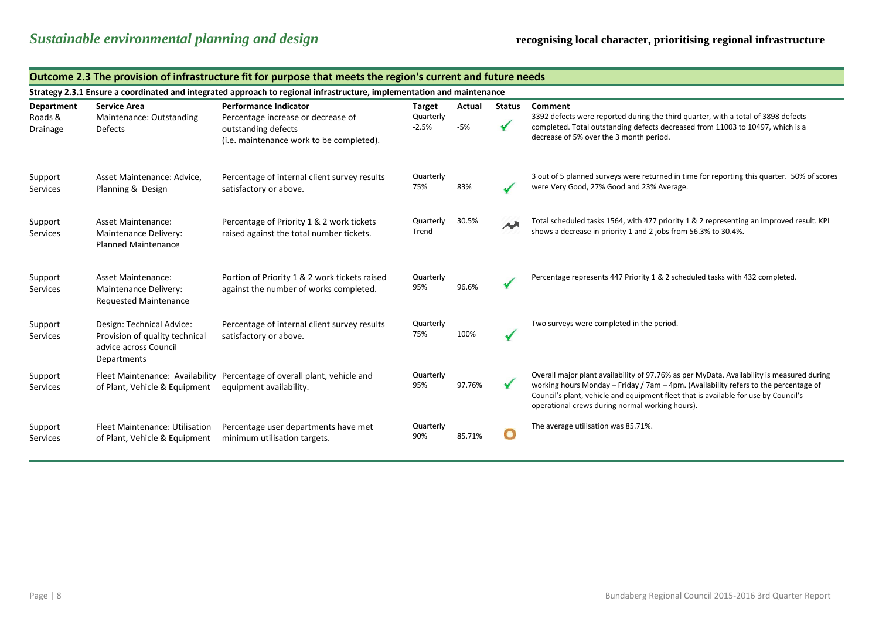|                                          | Outcome 2.3 The provision of infrastructure fit for purpose that meets the region's current and future needs |                                                                                                                                       |                                |                 |               |                                                                                                                                                                                                                                                                                                                             |  |  |  |
|------------------------------------------|--------------------------------------------------------------------------------------------------------------|---------------------------------------------------------------------------------------------------------------------------------------|--------------------------------|-----------------|---------------|-----------------------------------------------------------------------------------------------------------------------------------------------------------------------------------------------------------------------------------------------------------------------------------------------------------------------------|--|--|--|
|                                          |                                                                                                              | Strategy 2.3.1 Ensure a coordinated and integrated approach to regional infrastructure, implementation and maintenance                |                                |                 |               |                                                                                                                                                                                                                                                                                                                             |  |  |  |
| <b>Department</b><br>Roads &<br>Drainage | <b>Service Area</b><br>Maintenance: Outstanding<br><b>Defects</b>                                            | <b>Performance Indicator</b><br>Percentage increase or decrease of<br>outstanding defects<br>(i.e. maintenance work to be completed). | Target<br>Quarterly<br>$-2.5%$ | Actual<br>$-5%$ | <b>Status</b> | Comment<br>3392 defects were reported during the third quarter, with a total of 3898 defects<br>completed. Total outstanding defects decreased from 11003 to 10497, which is a<br>decrease of 5% over the 3 month period.                                                                                                   |  |  |  |
| Support<br>Services                      | Asset Maintenance: Advice,<br>Planning & Design                                                              | Percentage of internal client survey results<br>satisfactory or above.                                                                | Quarterly<br>75%               | 83%             |               | 3 out of 5 planned surveys were returned in time for reporting this quarter. 50% of scores<br>were Very Good, 27% Good and 23% Average.                                                                                                                                                                                     |  |  |  |
| Support<br>Services                      | <b>Asset Maintenance:</b><br>Maintenance Delivery:<br><b>Planned Maintenance</b>                             | Percentage of Priority 1 & 2 work tickets<br>raised against the total number tickets.                                                 | Quarterly<br>Trend             | 30.5%           | $\rightarrow$ | Total scheduled tasks 1564, with 477 priority 1 & 2 representing an improved result. KPI<br>shows a decrease in priority 1 and 2 jobs from 56.3% to 30.4%.                                                                                                                                                                  |  |  |  |
| Support<br>Services                      | <b>Asset Maintenance:</b><br>Maintenance Delivery:<br><b>Requested Maintenance</b>                           | Portion of Priority 1 & 2 work tickets raised<br>against the number of works completed.                                               | Quarterly<br>95%               | 96.6%           |               | Percentage represents 447 Priority 1 & 2 scheduled tasks with 432 completed.                                                                                                                                                                                                                                                |  |  |  |
| Support<br>Services                      | Design: Technical Advice:<br>Provision of quality technical<br>advice across Council<br>Departments          | Percentage of internal client survey results<br>satisfactory or above.                                                                | Quarterly<br>75%               | 100%            |               | Two surveys were completed in the period.                                                                                                                                                                                                                                                                                   |  |  |  |
| Support<br>Services                      | of Plant, Vehicle & Equipment                                                                                | Fleet Maintenance: Availability Percentage of overall plant, vehicle and<br>equipment availability.                                   | Quarterly<br>95%               | 97.76%          |               | Overall major plant availability of 97.76% as per MyData. Availability is measured during<br>working hours Monday - Friday / 7am - 4pm. (Availability refers to the percentage of<br>Council's plant, vehicle and equipment fleet that is available for use by Council's<br>operational crews during normal working hours). |  |  |  |
| Support<br>Services                      | Fleet Maintenance: Utilisation<br>of Plant, Vehicle & Equipment                                              | Percentage user departments have met<br>minimum utilisation targets.                                                                  | Quarterly<br>90%               | 85.71%          | $\mathbf{O}$  | The average utilisation was 85.71%.                                                                                                                                                                                                                                                                                         |  |  |  |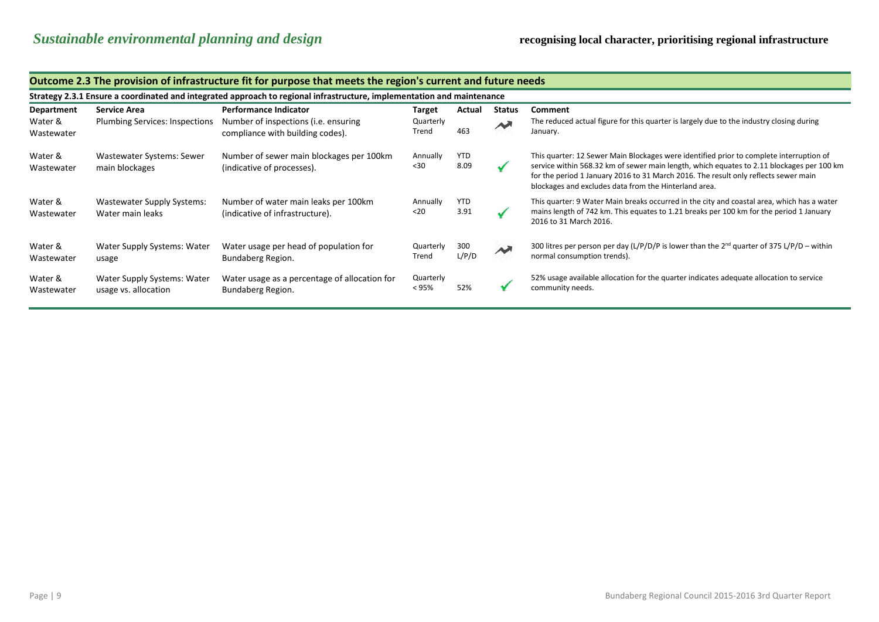|                       | Outcome 2.3 The provision of infrastructure itt for purpose that meets the region's current and future needs.          |                                                                          |                       |                    |                        |                                                                                                                                                                                                                                                                                                                                      |  |  |  |  |
|-----------------------|------------------------------------------------------------------------------------------------------------------------|--------------------------------------------------------------------------|-----------------------|--------------------|------------------------|--------------------------------------------------------------------------------------------------------------------------------------------------------------------------------------------------------------------------------------------------------------------------------------------------------------------------------------|--|--|--|--|
|                       | Strategy 2.3.1 Ensure a coordinated and integrated approach to regional infrastructure, implementation and maintenance |                                                                          |                       |                    |                        |                                                                                                                                                                                                                                                                                                                                      |  |  |  |  |
| Department            | <b>Service Area</b>                                                                                                    | <b>Performance Indicator</b>                                             | <b>Target</b>         | Actual             | <b>Status</b>          | Comment                                                                                                                                                                                                                                                                                                                              |  |  |  |  |
| Water &<br>Wastewater | <b>Plumbing Services: Inspections</b>                                                                                  | Number of inspections (i.e. ensuring<br>compliance with building codes). | Quarterly<br>Trend    | 463                | $\sim$                 | The reduced actual figure for this quarter is largely due to the industry closing during<br>January.                                                                                                                                                                                                                                 |  |  |  |  |
| Water &<br>Wastewater | Wastewater Systems: Sewer<br>main blockages                                                                            | Number of sewer main blockages per 100km<br>(indicative of processes).   | Annually<br>$30$      | <b>YTD</b><br>8.09 |                        | This quarter: 12 Sewer Main Blockages were identified prior to complete interruption of<br>service within 568.32 km of sewer main length, which equates to 2.11 blockages per 100 km<br>for the period 1 January 2016 to 31 March 2016. The result only reflects sewer main<br>blockages and excludes data from the Hinterland area. |  |  |  |  |
| Water &<br>Wastewater | <b>Wastewater Supply Systems:</b><br>Water main leaks                                                                  | Number of water main leaks per 100km<br>(indicative of infrastructure).  | Annually<br>$20$      | YTD<br>3.91        |                        | This quarter: 9 Water Main breaks occurred in the city and coastal area, which has a water<br>mains length of 742 km. This equates to 1.21 breaks per 100 km for the period 1 January<br>2016 to 31 March 2016.                                                                                                                      |  |  |  |  |
| Water &<br>Wastewater | Water Supply Systems: Water<br>usage                                                                                   | Water usage per head of population for<br>Bundaberg Region.              | Quarterly<br>Trend    | 300<br>L/P/D       | $\boldsymbol{\lambda}$ | 300 litres per person per day (L/P/D/P is lower than the $2^{nd}$ quarter of 375 L/P/D – within<br>normal consumption trends).                                                                                                                                                                                                       |  |  |  |  |
| Water &<br>Wastewater | Water Supply Systems: Water<br>usage vs. allocation                                                                    | Water usage as a percentage of allocation for<br>Bundaberg Region.       | Quarterly<br>$< 95\%$ | 52%                |                        | 52% usage available allocation for the quarter indicates adequate allocation to service<br>community needs.                                                                                                                                                                                                                          |  |  |  |  |

### **Outcome 2.3 The provision of infrastructure fit for purpose that meets the region's current and future needs**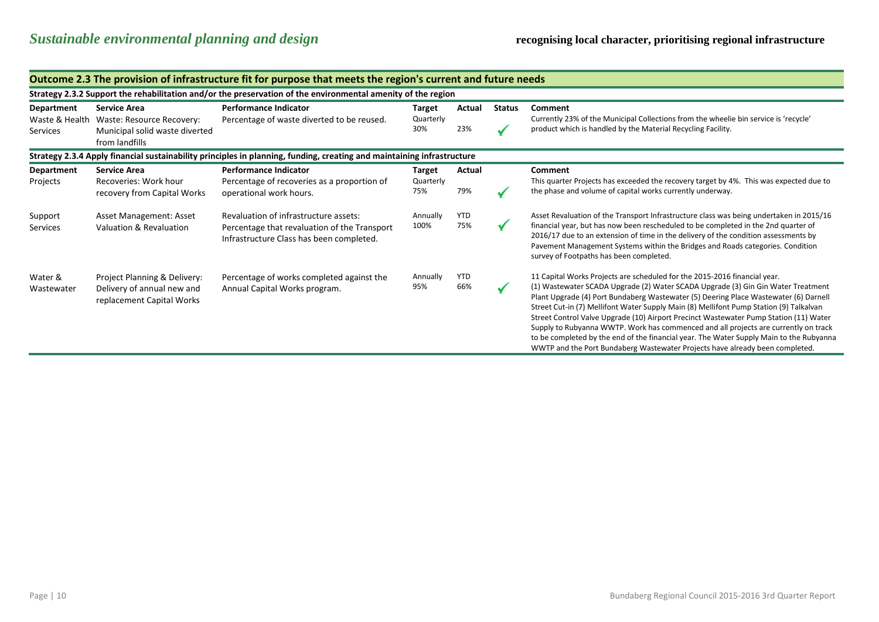|                                                                                                                        | Outcome 2.3 The provision of infrastructure fit for purpose that meets the region's current and future needs |                                                                                                                                   |                                   |                   |               |                                                                                                                                                                                                                                                                                                                                                                                                                                                                                                                                                                                                                                                                                                            |  |  |  |  |  |
|------------------------------------------------------------------------------------------------------------------------|--------------------------------------------------------------------------------------------------------------|-----------------------------------------------------------------------------------------------------------------------------------|-----------------------------------|-------------------|---------------|------------------------------------------------------------------------------------------------------------------------------------------------------------------------------------------------------------------------------------------------------------------------------------------------------------------------------------------------------------------------------------------------------------------------------------------------------------------------------------------------------------------------------------------------------------------------------------------------------------------------------------------------------------------------------------------------------------|--|--|--|--|--|
|                                                                                                                        | Strategy 2.3.2 Support the rehabilitation and/or the preservation of the environmental amenity of the region |                                                                                                                                   |                                   |                   |               |                                                                                                                                                                                                                                                                                                                                                                                                                                                                                                                                                                                                                                                                                                            |  |  |  |  |  |
| <b>Department</b><br>Waste & Health<br>Services                                                                        | <b>Service Area</b><br>Waste: Resource Recovery:<br>Municipal solid waste diverted<br>from landfills         | <b>Performance Indicator</b><br>Percentage of waste diverted to be reused.                                                        | <b>Target</b><br>Quarterly<br>30% | Actual<br>23%     | <b>Status</b> | Comment<br>Currently 23% of the Municipal Collections from the wheelie bin service is 'recycle'<br>product which is handled by the Material Recycling Facility.                                                                                                                                                                                                                                                                                                                                                                                                                                                                                                                                            |  |  |  |  |  |
| Strategy 2.3.4 Apply financial sustainability principles in planning, funding, creating and maintaining infrastructure |                                                                                                              |                                                                                                                                   |                                   |                   |               |                                                                                                                                                                                                                                                                                                                                                                                                                                                                                                                                                                                                                                                                                                            |  |  |  |  |  |
| Department<br>Projects                                                                                                 | <b>Service Area</b><br>Recoveries: Work hour<br>recovery from Capital Works                                  | <b>Performance Indicator</b><br>Percentage of recoveries as a proportion of<br>operational work hours.                            | Target<br>Quarterly<br>75%        | Actual<br>79%     |               | <b>Comment</b><br>This quarter Projects has exceeded the recovery target by 4%. This was expected due to<br>the phase and volume of capital works currently underway.                                                                                                                                                                                                                                                                                                                                                                                                                                                                                                                                      |  |  |  |  |  |
| Support<br>Services                                                                                                    | Asset Management: Asset<br>Valuation & Revaluation                                                           | Revaluation of infrastructure assets:<br>Percentage that revaluation of the Transport<br>Infrastructure Class has been completed. | Annually<br>100%                  | <b>YTD</b><br>75% |               | Asset Revaluation of the Transport Infrastructure class was being undertaken in 2015/16<br>financial year, but has now been rescheduled to be completed in the 2nd quarter of<br>2016/17 due to an extension of time in the delivery of the condition assessments by<br>Pavement Management Systems within the Bridges and Roads categories. Condition<br>survey of Footpaths has been completed.                                                                                                                                                                                                                                                                                                          |  |  |  |  |  |
| Water &<br>Wastewater                                                                                                  | Project Planning & Delivery:<br>Delivery of annual new and<br>replacement Capital Works                      | Percentage of works completed against the<br>Annual Capital Works program.                                                        | Annually<br>95%                   | <b>YTD</b><br>66% |               | 11 Capital Works Projects are scheduled for the 2015-2016 financial year.<br>(1) Wastewater SCADA Upgrade (2) Water SCADA Upgrade (3) Gin Gin Water Treatment<br>Plant Upgrade (4) Port Bundaberg Wastewater (5) Deering Place Wastewater (6) Darnell<br>Street Cut-in (7) Mellifont Water Supply Main (8) Mellifont Pump Station (9) Talkalvan<br>Street Control Valve Upgrade (10) Airport Precinct Wastewater Pump Station (11) Water<br>Supply to Rubyanna WWTP. Work has commenced and all projects are currently on track<br>to be completed by the end of the financial year. The Water Supply Main to the Rubyanna<br>WWTP and the Port Bundaberg Wastewater Projects have already been completed. |  |  |  |  |  |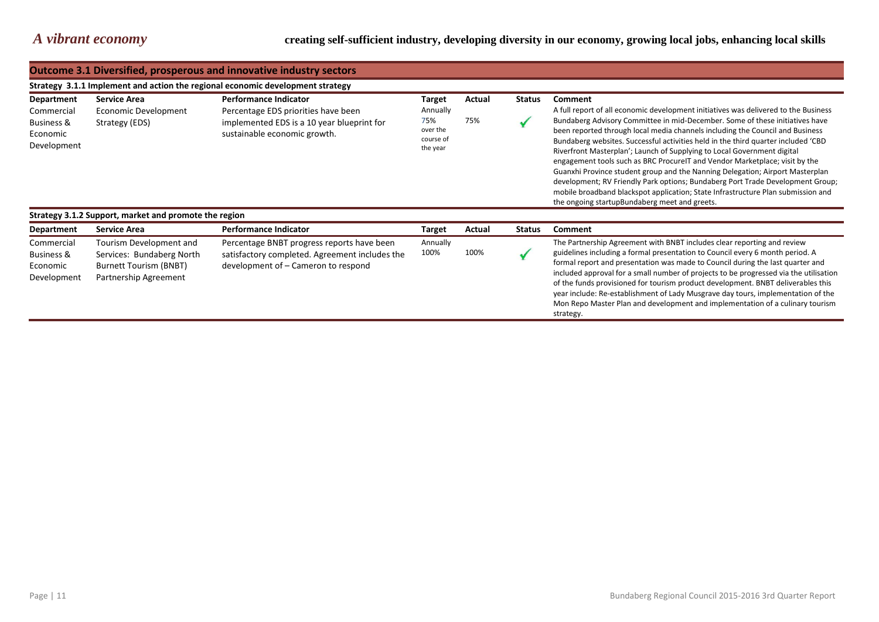|                                                                   | <b>Outcome 3.1 Diversified, prosperous and innovative industry sectors</b>     |                                                                                                                                                   |                                                                |               |               |                                                                                                                                                                                                                                                                                                                                                                                                                                                                                                                                                                                                                                                                                                                                                                                                                        |  |  |  |
|-------------------------------------------------------------------|--------------------------------------------------------------------------------|---------------------------------------------------------------------------------------------------------------------------------------------------|----------------------------------------------------------------|---------------|---------------|------------------------------------------------------------------------------------------------------------------------------------------------------------------------------------------------------------------------------------------------------------------------------------------------------------------------------------------------------------------------------------------------------------------------------------------------------------------------------------------------------------------------------------------------------------------------------------------------------------------------------------------------------------------------------------------------------------------------------------------------------------------------------------------------------------------------|--|--|--|
|                                                                   | Strategy 3.1.1 Implement and action the regional economic development strategy |                                                                                                                                                   |                                                                |               |               |                                                                                                                                                                                                                                                                                                                                                                                                                                                                                                                                                                                                                                                                                                                                                                                                                        |  |  |  |
| Department<br>Commercial<br>Business &<br>Economic<br>Development | <b>Service Area</b><br>Economic Development<br>Strategy (EDS)                  | <b>Performance Indicator</b><br>Percentage EDS priorities have been<br>implemented EDS is a 10 year blueprint for<br>sustainable economic growth. | Target<br>Annually<br>75%<br>over the<br>course of<br>the year | Actual<br>75% | <b>Status</b> | Comment<br>A full report of all economic development initiatives was delivered to the Business<br>Bundaberg Advisory Committee in mid-December. Some of these initiatives have<br>been reported through local media channels including the Council and Business<br>Bundaberg websites. Successful activities held in the third quarter included 'CBD<br>Riverfront Masterplan'; Launch of Supplying to Local Government digital<br>engagement tools such as BRC Procure T and Vendor Marketplace; visit by the<br>Guanxhi Province student group and the Nanning Delegation; Airport Masterplan<br>development; RV Friendly Park options; Bundaberg Port Trade Development Group;<br>mobile broadband blackspot application; State Infrastructure Plan submission and<br>the ongoing startupBundaberg meet and greets. |  |  |  |
|                                                                   | Strategy 3.1.2 Support, market and promote the region                          |                                                                                                                                                   |                                                                |               |               |                                                                                                                                                                                                                                                                                                                                                                                                                                                                                                                                                                                                                                                                                                                                                                                                                        |  |  |  |
| <b>Department</b>                                                 | <b>Service Area</b>                                                            | <b>Performance Indicator</b>                                                                                                                      | <b>Target</b>                                                  | Actual        | <b>Status</b> | Comment                                                                                                                                                                                                                                                                                                                                                                                                                                                                                                                                                                                                                                                                                                                                                                                                                |  |  |  |

| <b>Department</b>                                              | Service Area                                                                                            | <b>Performance Indicator</b>                                                                                                        | Target           | Actual | <b>Status</b> | Comment                                                                                                                                                                                                                                                                                                                                                                                                                                                                                                                                                                                                   |
|----------------------------------------------------------------|---------------------------------------------------------------------------------------------------------|-------------------------------------------------------------------------------------------------------------------------------------|------------------|--------|---------------|-----------------------------------------------------------------------------------------------------------------------------------------------------------------------------------------------------------------------------------------------------------------------------------------------------------------------------------------------------------------------------------------------------------------------------------------------------------------------------------------------------------------------------------------------------------------------------------------------------------|
| Commercial<br><b>Business &amp;</b><br>Economic<br>Development | Tourism Development and<br>Services: Bundaberg North<br>Burnett Tourism (BNBT)<br>Partnership Agreement | Percentage BNBT progress reports have been<br>satisfactory completed. Agreement includes the<br>development of – Cameron to respond | Annually<br>100% | 100%   |               | The Partnership Agreement with BNBT includes clear reporting and review<br>guidelines including a formal presentation to Council every 6 month period. A<br>formal report and presentation was made to Council during the last quarter and<br>included approval for a small number of projects to be progressed via the utilisation<br>of the funds provisioned for tourism product development. BNBT deliverables this<br>year include: Re-establishment of Lady Musgrave day tours, implementation of the<br>Mon Repo Master Plan and development and implementation of a culinary tourism<br>strategy. |
|                                                                |                                                                                                         |                                                                                                                                     |                  |        |               |                                                                                                                                                                                                                                                                                                                                                                                                                                                                                                                                                                                                           |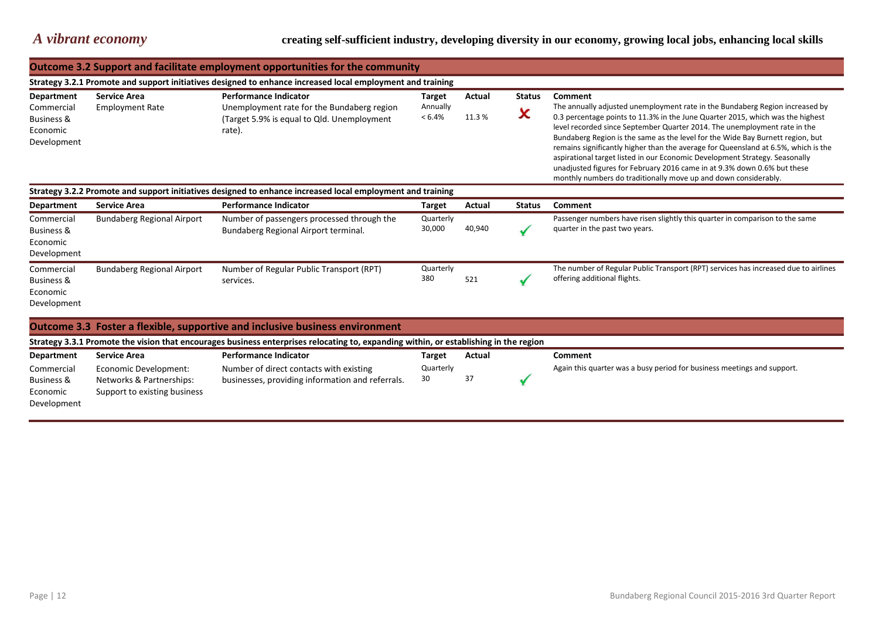*A vibrant economy* **creating self-sufficient industry, developing diversity in our economy, growing local jobs, enhancing local skills**

|                                                                                                            | Outcome 3.2 Support and facilitate employment opportunities for the community                              |                                                                                                                                       |                       |        |               |                                                                                                                                                                                                                                                                                                                                                                                                                                                                                                                                                                                                                                                   |  |  |  |  |
|------------------------------------------------------------------------------------------------------------|------------------------------------------------------------------------------------------------------------|---------------------------------------------------------------------------------------------------------------------------------------|-----------------------|--------|---------------|---------------------------------------------------------------------------------------------------------------------------------------------------------------------------------------------------------------------------------------------------------------------------------------------------------------------------------------------------------------------------------------------------------------------------------------------------------------------------------------------------------------------------------------------------------------------------------------------------------------------------------------------------|--|--|--|--|
|                                                                                                            | Strategy 3.2.1 Promote and support initiatives designed to enhance increased local employment and training |                                                                                                                                       |                       |        |               |                                                                                                                                                                                                                                                                                                                                                                                                                                                                                                                                                                                                                                                   |  |  |  |  |
| <b>Department</b>                                                                                          | <b>Service Area</b>                                                                                        | <b>Performance Indicator</b>                                                                                                          | Target                | Actual | <b>Status</b> | Comment                                                                                                                                                                                                                                                                                                                                                                                                                                                                                                                                                                                                                                           |  |  |  |  |
| Commercial<br><b>Business &amp;</b><br>Economic<br>Development                                             | <b>Employment Rate</b>                                                                                     | Unemployment rate for the Bundaberg region<br>(Target 5.9% is equal to Qld. Unemployment<br>rate).                                    | Annually<br>$< 6.4\%$ | 11.3%  | ×             | The annually adjusted unemployment rate in the Bundaberg Region increased by<br>0.3 percentage points to 11.3% in the June Quarter 2015, which was the highest<br>level recorded since September Quarter 2014. The unemployment rate in the<br>Bundaberg Region is the same as the level for the Wide Bay Burnett region, but<br>remains significantly higher than the average for Queensland at 6.5%, which is the<br>aspirational target listed in our Economic Development Strategy. Seasonally<br>unadjusted figures for February 2016 came in at 9.3% down 0.6% but these<br>monthly numbers do traditionally move up and down considerably. |  |  |  |  |
| Strategy 3.2.2 Promote and support initiatives designed to enhance increased local employment and training |                                                                                                            |                                                                                                                                       |                       |        |               |                                                                                                                                                                                                                                                                                                                                                                                                                                                                                                                                                                                                                                                   |  |  |  |  |
| <b>Department</b>                                                                                          | <b>Service Area</b>                                                                                        | <b>Performance Indicator</b>                                                                                                          | Target                | Actual | <b>Status</b> | Comment                                                                                                                                                                                                                                                                                                                                                                                                                                                                                                                                                                                                                                           |  |  |  |  |
| Commercial<br><b>Business &amp;</b><br>Economic<br>Development                                             | <b>Bundaberg Regional Airport</b>                                                                          | Number of passengers processed through the<br>Bundaberg Regional Airport terminal.                                                    | Quarterly<br>30,000   | 40,940 |               | Passenger numbers have risen slightly this quarter in comparison to the same<br>quarter in the past two years.                                                                                                                                                                                                                                                                                                                                                                                                                                                                                                                                    |  |  |  |  |
| Commercial<br><b>Business &amp;</b><br>Economic<br>Development                                             | <b>Bundaberg Regional Airport</b>                                                                          | Number of Regular Public Transport (RPT)<br>services.                                                                                 | Quarterly<br>380      | 521    |               | The number of Regular Public Transport (RPT) services has increased due to airlines<br>offering additional flights.                                                                                                                                                                                                                                                                                                                                                                                                                                                                                                                               |  |  |  |  |
|                                                                                                            |                                                                                                            | Outcome 3.3 Foster a flexible, supportive and inclusive business environment                                                          |                       |        |               |                                                                                                                                                                                                                                                                                                                                                                                                                                                                                                                                                                                                                                                   |  |  |  |  |
|                                                                                                            |                                                                                                            | Strategy 3.3.1 Promote the vision that encourages business enterprises relocating to, expanding within, or establishing in the region |                       |        |               |                                                                                                                                                                                                                                                                                                                                                                                                                                                                                                                                                                                                                                                   |  |  |  |  |
| <b>Department</b>                                                                                          | <b>Service Area</b>                                                                                        | <b>Performance Indicator</b>                                                                                                          | <b>Target</b>         | Actual |               | Comment                                                                                                                                                                                                                                                                                                                                                                                                                                                                                                                                                                                                                                           |  |  |  |  |
| Commercial<br><b>Business &amp;</b><br>Economic<br>Development                                             | Economic Development:<br>Networks & Partnerships:<br>Support to existing business                          | Number of direct contacts with existing<br>businesses, providing information and referrals.                                           | Quarterly<br>30       | 37     |               | Again this quarter was a busy period for business meetings and support.                                                                                                                                                                                                                                                                                                                                                                                                                                                                                                                                                                           |  |  |  |  |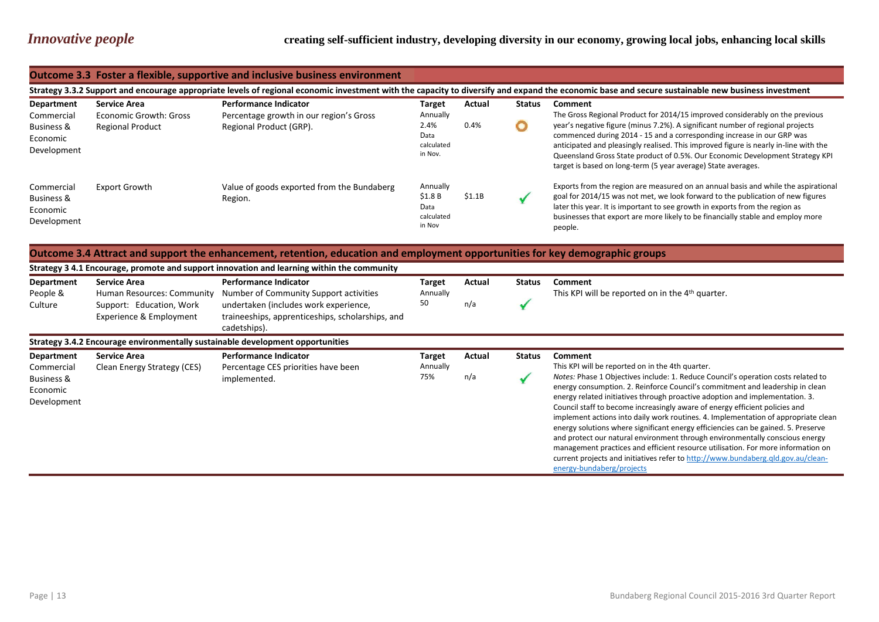[energy-bundaberg/projects](http://www.bundaberg.qld.gov.au/clean-energy-bundaberg/projects)

|                                                                              | Outcome 3.3 Foster a flexible, supportive and inclusive business environment                                                                                                                       |                                                                                                    |                                                                    |                |               |                                                                                                                                                                                                                                                                                                                                                                                                                                                                                                      |  |  |  |  |
|------------------------------------------------------------------------------|----------------------------------------------------------------------------------------------------------------------------------------------------------------------------------------------------|----------------------------------------------------------------------------------------------------|--------------------------------------------------------------------|----------------|---------------|------------------------------------------------------------------------------------------------------------------------------------------------------------------------------------------------------------------------------------------------------------------------------------------------------------------------------------------------------------------------------------------------------------------------------------------------------------------------------------------------------|--|--|--|--|
|                                                                              | Strategy 3.3.2 Support and encourage appropriate levels of regional economic investment with the capacity to diversify and expand the economic base and secure sustainable new business investment |                                                                                                    |                                                                    |                |               |                                                                                                                                                                                                                                                                                                                                                                                                                                                                                                      |  |  |  |  |
| Department<br>Commercial<br><b>Business &amp;</b><br>Economic<br>Development | <b>Service Area</b><br>Economic Growth: Gross<br><b>Regional Product</b>                                                                                                                           | <b>Performance Indicator</b><br>Percentage growth in our region's Gross<br>Regional Product (GRP). | <b>Target</b><br>Annually<br>2.4%<br>Data<br>calculated<br>in Nov. | Actual<br>0.4% | <b>Status</b> | <b>Comment</b><br>The Gross Regional Product for 2014/15 improved considerably on the previous<br>year's negative figure (minus 7.2%). A significant number of regional projects<br>commenced during 2014 - 15 and a corresponding increase in our GRP was<br>anticipated and pleasingly realised. This improved figure is nearly in-line with the<br>Queensland Gross State product of 0.5%. Our Economic Development Strategy KPI<br>target is based on long-term (5 year average) State averages. |  |  |  |  |
| Commercial<br><b>Business &amp;</b><br>Economic<br>Development               | <b>Export Growth</b>                                                                                                                                                                               | Value of goods exported from the Bundaberg<br>Region.                                              | Annually<br>\$1.8B<br>Data<br>calculated<br>in Nov                 | \$1.1B         |               | Exports from the region are measured on an annual basis and while the aspirational<br>goal for 2014/15 was not met, we look forward to the publication of new figures<br>later this year. It is important to see growth in exports from the region as<br>businesses that export are more likely to be financially stable and employ more<br>people.                                                                                                                                                  |  |  |  |  |

## **Outcome 3.4 Attract and support the enhancement, retention, education and employment opportunities for key demographic groups**

|                                                                              | Strategy 3 4.1 Encourage, promote and support innovation and learning within the community               |                                                                                                                                                                                     |                                 |               |               |                                                                                                                                                                                                                                                                                                                                                                                                                                                                                                                                                                                                                                                                                                                                                                                                                                            |  |  |  |
|------------------------------------------------------------------------------|----------------------------------------------------------------------------------------------------------|-------------------------------------------------------------------------------------------------------------------------------------------------------------------------------------|---------------------------------|---------------|---------------|--------------------------------------------------------------------------------------------------------------------------------------------------------------------------------------------------------------------------------------------------------------------------------------------------------------------------------------------------------------------------------------------------------------------------------------------------------------------------------------------------------------------------------------------------------------------------------------------------------------------------------------------------------------------------------------------------------------------------------------------------------------------------------------------------------------------------------------------|--|--|--|
| Department<br>People &<br>Culture                                            | <b>Service Area</b><br>Human Resources: Community<br>Support: Education, Work<br>Experience & Employment | <b>Performance Indicator</b><br>Number of Community Support activities<br>undertaken (includes work experience,<br>traineeships, apprenticeships, scholarships, and<br>cadetships). | <b>Target</b><br>Annually<br>50 | Actual<br>n/a | <b>Status</b> | <b>Comment</b><br>This KPI will be reported on in the 4 <sup>th</sup> quarter.                                                                                                                                                                                                                                                                                                                                                                                                                                                                                                                                                                                                                                                                                                                                                             |  |  |  |
|                                                                              | Strategy 3.4.2 Encourage environmentally sustainable development opportunities                           |                                                                                                                                                                                     |                                 |               |               |                                                                                                                                                                                                                                                                                                                                                                                                                                                                                                                                                                                                                                                                                                                                                                                                                                            |  |  |  |
| Department<br>Commercial<br><b>Business &amp;</b><br>Economic<br>Development | <b>Service Area</b><br>Clean Energy Strategy (CES)                                                       | <b>Performance Indicator</b><br>Percentage CES priorities have been<br>implemented.                                                                                                 | Target<br>Annually<br>75%       | Actual<br>n/a | <b>Status</b> | <b>Comment</b><br>This KPI will be reported on in the 4th quarter.<br>Notes: Phase 1 Objectives include: 1. Reduce Council's operation costs related to<br>energy consumption. 2. Reinforce Council's commitment and leadership in clean<br>energy related initiatives through proactive adoption and implementation. 3.<br>Council staff to become increasingly aware of energy efficient policies and<br>implement actions into daily work routines. 4. Implementation of appropriate clean<br>energy solutions where significant energy efficiencies can be gained. 5. Preserve<br>and protect our natural environment through environmentally conscious energy<br>management practices and efficient resource utilisation. For more information on<br>current projects and initiatives refer to http://www.bundaberg.qld.gov.au/clean- |  |  |  |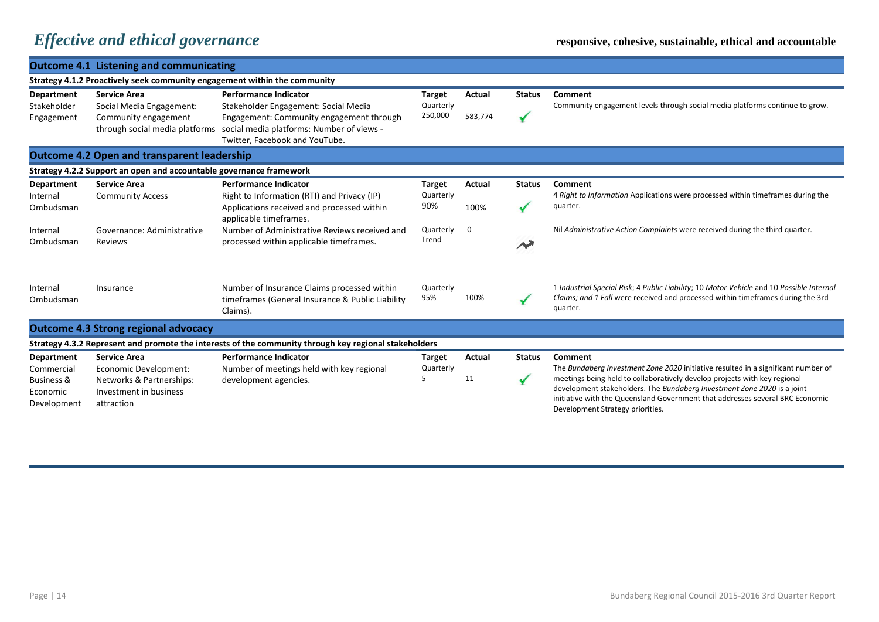|                                                                                     | <b>Outcome 4.1 Listening and communicating</b>                                                                   |                                                                                                                                                                                                 |                                       |                   |                               |                                                                                                                                                                                                                                                                                                                                                                           |  |  |  |
|-------------------------------------------------------------------------------------|------------------------------------------------------------------------------------------------------------------|-------------------------------------------------------------------------------------------------------------------------------------------------------------------------------------------------|---------------------------------------|-------------------|-------------------------------|---------------------------------------------------------------------------------------------------------------------------------------------------------------------------------------------------------------------------------------------------------------------------------------------------------------------------------------------------------------------------|--|--|--|
| Strategy 4.1.2 Proactively seek community engagement within the community           |                                                                                                                  |                                                                                                                                                                                                 |                                       |                   |                               |                                                                                                                                                                                                                                                                                                                                                                           |  |  |  |
| <b>Department</b><br>Stakeholder<br>Engagement                                      | <b>Service Area</b><br>Social Media Engagement:<br>Community engagement<br>through social media platforms        | <b>Performance Indicator</b><br>Stakeholder Engagement: Social Media<br>Engagement: Community engagement through<br>social media platforms: Number of views -<br>Twitter, Facebook and YouTube. | <b>Target</b><br>Quarterly<br>250,000 | Actual<br>583,774 | <b>Status</b><br>✔            | Comment<br>Community engagement levels through social media platforms continue to grow.                                                                                                                                                                                                                                                                                   |  |  |  |
| <b>Outcome 4.2 Open and transparent leadership</b>                                  |                                                                                                                  |                                                                                                                                                                                                 |                                       |                   |                               |                                                                                                                                                                                                                                                                                                                                                                           |  |  |  |
|                                                                                     | Strategy 4.2.2 Support an open and accountable governance framework                                              |                                                                                                                                                                                                 |                                       |                   |                               |                                                                                                                                                                                                                                                                                                                                                                           |  |  |  |
| <b>Department</b><br>Internal<br>Ombudsman                                          | <b>Service Area</b><br><b>Community Access</b>                                                                   | <b>Performance Indicator</b><br>Right to Information (RTI) and Privacy (IP)<br>Applications received and processed within<br>applicable timeframes.                                             | <b>Target</b><br>Quarterly<br>90%     | Actual<br>100%    | <b>Status</b>                 | Comment<br>4 Right to Information Applications were processed within timeframes during the<br>quarter.                                                                                                                                                                                                                                                                    |  |  |  |
| Internal<br>Ombudsman                                                               | Governance: Administrative<br><b>Reviews</b>                                                                     | Number of Administrative Reviews received and<br>processed within applicable timeframes.                                                                                                        | Quarterly<br>Trend                    | $\mathbf 0$       | M                             | Nil Administrative Action Complaints were received during the third quarter.                                                                                                                                                                                                                                                                                              |  |  |  |
| Internal<br>Ombudsman                                                               | Insurance                                                                                                        | Number of Insurance Claims processed within<br>timeframes (General Insurance & Public Liability<br>Claims).                                                                                     | Quarterly<br>95%                      | 100%              |                               | 1 Industrial Special Risk; 4 Public Liability; 10 Motor Vehicle and 10 Possible Internal<br>Claims; and 1 Fall were received and processed within timeframes during the 3rd<br>quarter.                                                                                                                                                                                   |  |  |  |
|                                                                                     | <b>Outcome 4.3 Strong regional advocacy</b>                                                                      |                                                                                                                                                                                                 |                                       |                   |                               |                                                                                                                                                                                                                                                                                                                                                                           |  |  |  |
|                                                                                     |                                                                                                                  | Strategy 4.3.2 Represent and promote the interests of the community through key regional stakeholders                                                                                           |                                       |                   |                               |                                                                                                                                                                                                                                                                                                                                                                           |  |  |  |
| <b>Department</b><br>Commercial<br><b>Business &amp;</b><br>Economic<br>Development | <b>Service Area</b><br>Economic Development:<br>Networks & Partnerships:<br>Investment in business<br>attraction | <b>Performance Indicator</b><br>Number of meetings held with key regional<br>development agencies.                                                                                              | <b>Target</b><br>Quarterly<br>5       | Actual<br>11      | <b>Status</b><br>$\checkmark$ | Comment<br>The Bundaberg Investment Zone 2020 initiative resulted in a significant number of<br>meetings being held to collaboratively develop projects with key regional<br>development stakeholders. The Bundaberg Investment Zone 2020 is a joint<br>initiative with the Queensland Government that addresses several BRC Economic<br>Development Strategy priorities. |  |  |  |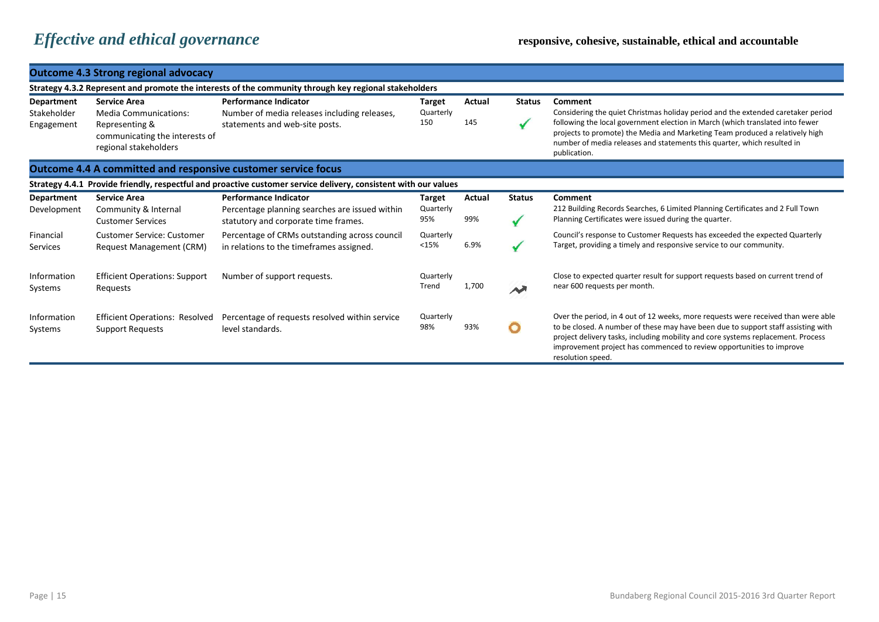|                                                                      | <b>Outcome 4.3 Strong regional advocacy</b>                                                                                      |                                                                                                                        |                            |               |               |                                                                                                                                                                                                                                                                                                                                                                |  |  |  |  |
|----------------------------------------------------------------------|----------------------------------------------------------------------------------------------------------------------------------|------------------------------------------------------------------------------------------------------------------------|----------------------------|---------------|---------------|----------------------------------------------------------------------------------------------------------------------------------------------------------------------------------------------------------------------------------------------------------------------------------------------------------------------------------------------------------------|--|--|--|--|
|                                                                      | Strategy 4.3.2 Represent and promote the interests of the community through key regional stakeholders                            |                                                                                                                        |                            |               |               |                                                                                                                                                                                                                                                                                                                                                                |  |  |  |  |
| <b>Department</b><br>Stakeholder<br>Engagement                       | <b>Service Area</b><br><b>Media Communications:</b><br>Representing &<br>communicating the interests of<br>regional stakeholders | <b>Performance Indicator</b><br>Number of media releases including releases,<br>statements and web-site posts.         | Target<br>Quarterly<br>150 | Actual<br>145 | <b>Status</b> | <b>Comment</b><br>Considering the quiet Christmas holiday period and the extended caretaker period<br>following the local government election in March (which translated into fewer<br>projects to promote) the Media and Marketing Team produced a relatively high<br>number of media releases and statements this quarter, which resulted in<br>publication. |  |  |  |  |
| <b>Outcome 4.4 A committed and responsive customer service focus</b> |                                                                                                                                  |                                                                                                                        |                            |               |               |                                                                                                                                                                                                                                                                                                                                                                |  |  |  |  |
|                                                                      |                                                                                                                                  | Strategy 4.4.1 Provide friendly, respectful and proactive customer service delivery, consistent with our values        |                            |               |               |                                                                                                                                                                                                                                                                                                                                                                |  |  |  |  |
| Department<br>Development                                            | <b>Service Area</b><br>Community & Internal<br><b>Customer Services</b>                                                          | <b>Performance Indicator</b><br>Percentage planning searches are issued within<br>statutory and corporate time frames. | Target<br>Quarterly<br>95% | Actual<br>99% | <b>Status</b> | Comment<br>212 Building Records Searches, 6 Limited Planning Certificates and 2 Full Town<br>Planning Certificates were issued during the quarter.                                                                                                                                                                                                             |  |  |  |  |
| Financial<br>Services                                                | <b>Customer Service: Customer</b><br><b>Request Management (CRM)</b>                                                             | Percentage of CRMs outstanding across council<br>in relations to the timeframes assigned.                              | Quarterly<br><15%          | 6.9%          |               | Council's response to Customer Requests has exceeded the expected Quarterly<br>Target, providing a timely and responsive service to our community.                                                                                                                                                                                                             |  |  |  |  |
| Information<br>Systems                                               | <b>Efficient Operations: Support</b><br>Requests                                                                                 | Number of support requests.                                                                                            | Quarterly<br>Trend         | 1,700         | $\rightarrow$ | Close to expected quarter result for support requests based on current trend of<br>near 600 requests per month.                                                                                                                                                                                                                                                |  |  |  |  |
| Information<br>Systems                                               | <b>Efficient Operations: Resolved</b><br><b>Support Requests</b>                                                                 | Percentage of requests resolved within service<br>level standards.                                                     | Quarterly<br>98%           | 93%           | $\mathbf O$   | Over the period, in 4 out of 12 weeks, more requests were received than were able<br>to be closed. A number of these may have been due to support staff assisting with<br>project delivery tasks, including mobility and core systems replacement. Process<br>improvement project has commenced to review opportunities to improve<br>resolution speed.        |  |  |  |  |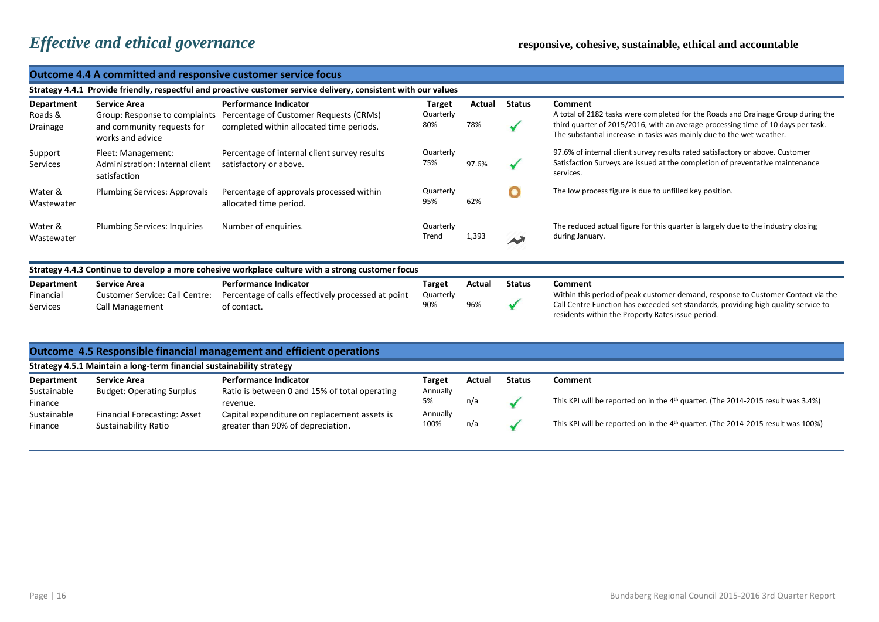|                                            | <b>Outcome 4.4 A committed and responsive customer service focus</b>                                            |                                                                                                                    |                                   |               |                    |                                                                                                                                                                                                                                                         |  |  |  |  |
|--------------------------------------------|-----------------------------------------------------------------------------------------------------------------|--------------------------------------------------------------------------------------------------------------------|-----------------------------------|---------------|--------------------|---------------------------------------------------------------------------------------------------------------------------------------------------------------------------------------------------------------------------------------------------------|--|--|--|--|
|                                            | Strategy 4.4.1 Provide friendly, respectful and proactive customer service delivery, consistent with our values |                                                                                                                    |                                   |               |                    |                                                                                                                                                                                                                                                         |  |  |  |  |
| Department<br>Roads &<br>Drainage          | <b>Service Area</b><br>Group: Response to complaints<br>and community requests for<br>works and advice          | <b>Performance Indicator</b><br>Percentage of Customer Requests (CRMs)<br>completed within allocated time periods. | Target<br>Quarterly<br>80%        | Actual<br>78% | <b>Status</b><br>✔ | Comment<br>A total of 2182 tasks were completed for the Roads and Drainage Group during the<br>third quarter of 2015/2016, with an average processing time of 10 days per task.<br>The substantial increase in tasks was mainly due to the wet weather. |  |  |  |  |
| Support<br><b>Services</b>                 | Fleet: Management:<br>Administration: Internal client<br>satisfaction                                           | Percentage of internal client survey results<br>satisfactory or above.                                             | Quarterly<br>75%                  | 97.6%         | ✔                  | 97.6% of internal client survey results rated satisfactory or above. Customer<br>Satisfaction Surveys are issued at the completion of preventative maintenance<br>services.                                                                             |  |  |  |  |
| Water &<br>Wastewater                      | <b>Plumbing Services: Approvals</b>                                                                             | Percentage of approvals processed within<br>allocated time period.                                                 | Quarterly<br>95%                  | 62%           | O                  | The low process figure is due to unfilled key position.                                                                                                                                                                                                 |  |  |  |  |
| Water &<br>Wastewater                      | <b>Plumbing Services: Inquiries</b>                                                                             | Number of enquiries.                                                                                               | Quarterly<br>Trend                | 1,393         | $\rightsquigarrow$ | The reduced actual figure for this quarter is largely due to the industry closing<br>during January.                                                                                                                                                    |  |  |  |  |
|                                            |                                                                                                                 | Strategy 4.4.3 Continue to develop a more cohesive workplace culture with a strong customer focus                  |                                   |               |                    |                                                                                                                                                                                                                                                         |  |  |  |  |
| Department<br>Financial<br><b>Services</b> | <b>Service Area</b><br><b>Customer Service: Call Centre:</b><br><b>Call Management</b>                          | <b>Performance Indicator</b><br>Percentage of calls effectively processed at point<br>of contact.                  | <b>Target</b><br>Quarterly<br>90% | Actual<br>96% | <b>Status</b>      | Comment<br>Within this period of peak customer demand, response to Customer Contact via the<br>Call Centre Function has exceeded set standards, providing high quality service to<br>residents within the Property Rates issue period.                  |  |  |  |  |
|                                            | Strategy 4.5.1 Maintain a long-term financial sustainability strategy                                           | Outcome 4.5 Responsible financial management and efficient operations                                              |                                   |               |                    |                                                                                                                                                                                                                                                         |  |  |  |  |
| <b>Department</b>                          | <b>Service Area</b>                                                                                             | <b>Performance Indicator</b>                                                                                       | <b>Target</b>                     | Actual        | <b>Status</b>      | Comment                                                                                                                                                                                                                                                 |  |  |  |  |
| Sustainable<br>Finance<br>Sustainable      | <b>Budget: Operating Surplus</b><br>Financial Forecasting: Asset                                                | Ratio is between 0 and 15% of total operating<br>revenue.<br>Capital expenditure on replacement assets is          | Annually<br>5%<br>Annually        | n/a           | ✔                  | This KPI will be reported on in the 4 <sup>th</sup> quarter. (The 2014-2015 result was 3.4%)                                                                                                                                                            |  |  |  |  |
| Finance                                    | <b>Sustainability Ratio</b>                                                                                     | greater than 90% of depreciation.                                                                                  | 100%                              | n/a           | ✔                  | This KPI will be reported on in the 4 <sup>th</sup> quarter. (The 2014-2015 result was 100%)                                                                                                                                                            |  |  |  |  |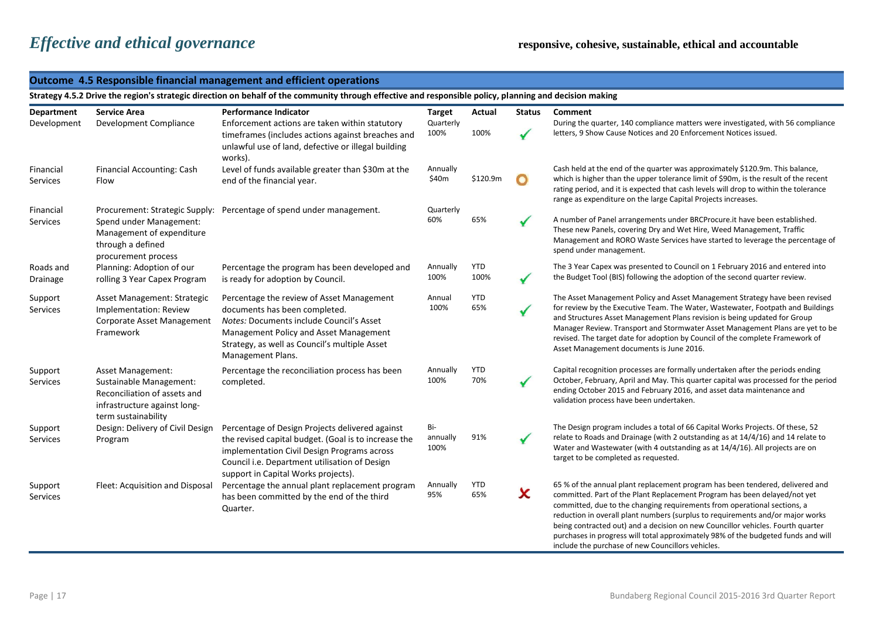### **Outcome 4.5 Responsible financial management and efficient operations**

**Strategy 4.5.2 Drive the region's strategic direction on behalf of the community through effective and responsible policy, planning and decision making**

| Department                   | <b>Service Area</b>                                                                                                                 | Performance Indicator                                                                                                                                                                                                                          | <b>Target</b>           | Actual             | <b>Status</b> | Comment                                                                                                                                                                                                                                                                                                                                                                                                                                                                                          |
|------------------------------|-------------------------------------------------------------------------------------------------------------------------------------|------------------------------------------------------------------------------------------------------------------------------------------------------------------------------------------------------------------------------------------------|-------------------------|--------------------|---------------|--------------------------------------------------------------------------------------------------------------------------------------------------------------------------------------------------------------------------------------------------------------------------------------------------------------------------------------------------------------------------------------------------------------------------------------------------------------------------------------------------|
| Development                  | Development Compliance                                                                                                              | Enforcement actions are taken within statutory<br>timeframes (includes actions against breaches and<br>unlawful use of land, defective or illegal building<br>works).                                                                          | Quarterly<br>100%       | 100%               |               | During the quarter, 140 compliance matters were investigated, with 56 compliance<br>letters, 9 Show Cause Notices and 20 Enforcement Notices issued.                                                                                                                                                                                                                                                                                                                                             |
| Financial<br><b>Services</b> | Financial Accounting: Cash<br>Flow                                                                                                  | Level of funds available greater than \$30m at the<br>end of the financial year.                                                                                                                                                               | Annually<br>\$40m       | \$120.9m           | $\bullet$     | Cash held at the end of the quarter was approximately \$120.9m. This balance,<br>which is higher than the upper tolerance limit of \$90m, is the result of the recent<br>rating period, and it is expected that cash levels will drop to within the tolerance<br>range as expenditure on the large Capital Projects increases.                                                                                                                                                                   |
| Financial<br><b>Services</b> | Procurement: Strategic Supply:<br>Spend under Management:<br>Management of expenditure<br>through a defined<br>procurement process  | Percentage of spend under management.                                                                                                                                                                                                          | Quarterly<br>60%        | 65%                |               | A number of Panel arrangements under BRCProcure.it have been established.<br>These new Panels, covering Dry and Wet Hire, Weed Management, Traffic<br>Management and RORO Waste Services have started to leverage the percentage of<br>spend under management.                                                                                                                                                                                                                                   |
| Roads and<br>Drainage        | Planning: Adoption of our<br>rolling 3 Year Capex Program                                                                           | Percentage the program has been developed and<br>is ready for adoption by Council.                                                                                                                                                             | Annually<br>100%        | <b>YTD</b><br>100% | $\checkmark$  | The 3 Year Capex was presented to Council on 1 February 2016 and entered into<br>the Budget Tool (BIS) following the adoption of the second quarter review.                                                                                                                                                                                                                                                                                                                                      |
| Support<br>Services          | Asset Management: Strategic<br>Implementation: Review<br>Corporate Asset Management<br>Framework                                    | Percentage the review of Asset Management<br>documents has been completed.<br>Notes: Documents include Council's Asset<br>Management Policy and Asset Management<br>Strategy, as well as Council's multiple Asset<br>Management Plans.         | Annual<br>100%          | <b>YTD</b><br>65%  |               | The Asset Management Policy and Asset Management Strategy have been revised<br>for review by the Executive Team. The Water, Wastewater, Footpath and Buildings<br>and Structures Asset Management Plans revision is being updated for Group<br>Manager Review. Transport and Stormwater Asset Management Plans are yet to be<br>revised. The target date for adoption by Council of the complete Framework of<br>Asset Management documents is June 2016.                                        |
| Support<br><b>Services</b>   | Asset Management:<br>Sustainable Management:<br>Reconciliation of assets and<br>infrastructure against long-<br>term sustainability | Percentage the reconciliation process has been<br>completed.                                                                                                                                                                                   | Annually<br>100%        | YTD<br>70%         |               | Capital recognition processes are formally undertaken after the periods ending<br>October, February, April and May. This quarter capital was processed for the period<br>ending October 2015 and February 2016, and asset data maintenance and<br>validation process have been undertaken.                                                                                                                                                                                                       |
| Support<br><b>Services</b>   | Design: Delivery of Civil Design<br>Program                                                                                         | Percentage of Design Projects delivered against<br>the revised capital budget. (Goal is to increase the<br>implementation Civil Design Programs across<br>Council i.e. Department utilisation of Design<br>support in Capital Works projects). | Bi-<br>annually<br>100% | 91%                |               | The Design program includes a total of 66 Capital Works Projects. Of these, 52<br>relate to Roads and Drainage (with 2 outstanding as at 14/4/16) and 14 relate to<br>Water and Wastewater (with 4 outstanding as at 14/4/16). All projects are on<br>target to be completed as requested.                                                                                                                                                                                                       |
| Support<br>Services          | Fleet: Acquisition and Disposal                                                                                                     | Percentage the annual plant replacement program<br>has been committed by the end of the third<br>Quarter.                                                                                                                                      | Annually<br>95%         | <b>YTD</b><br>65%  | X             | 65 % of the annual plant replacement program has been tendered, delivered and<br>committed. Part of the Plant Replacement Program has been delayed/not yet<br>committed, due to the changing requirements from operational sections, a<br>reduction in overall plant numbers (surplus to requirements and/or major works<br>being contracted out) and a decision on new Councillor vehicles. Fourth quarter<br>purchases in progress will total approximately 98% of the budgeted funds and will |

include the purchase of new Councillors vehicles.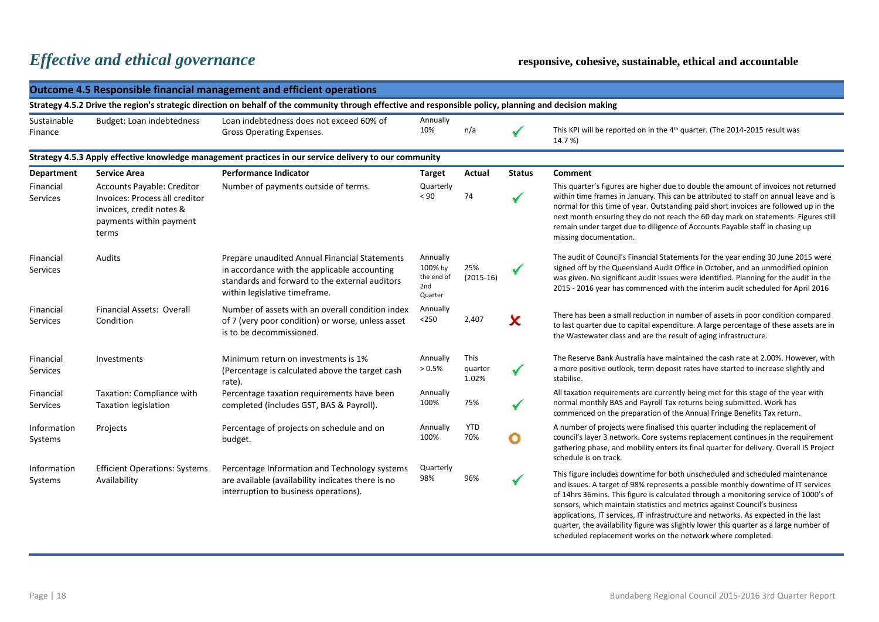|                                                                                                        | <b>Outcome 4.5 Responsible financial management and efficient operations</b>                                                                            |                                                                                                                                                                                  |                                                     |                          |               |                                                                                                                                                                                                                                                                                                                                                                                                                                                                      |  |  |  |
|--------------------------------------------------------------------------------------------------------|---------------------------------------------------------------------------------------------------------------------------------------------------------|----------------------------------------------------------------------------------------------------------------------------------------------------------------------------------|-----------------------------------------------------|--------------------------|---------------|----------------------------------------------------------------------------------------------------------------------------------------------------------------------------------------------------------------------------------------------------------------------------------------------------------------------------------------------------------------------------------------------------------------------------------------------------------------------|--|--|--|
|                                                                                                        | Strategy 4.5.2 Drive the region's strategic direction on behalf of the community through effective and responsible policy, planning and decision making |                                                                                                                                                                                  |                                                     |                          |               |                                                                                                                                                                                                                                                                                                                                                                                                                                                                      |  |  |  |
| Sustainable<br>Finance                                                                                 | Budget: Loan indebtedness                                                                                                                               | Loan indebtedness does not exceed 60% of<br>Gross Operating Expenses.                                                                                                            | Annually<br>10%                                     | n/a                      |               | This KPI will be reported on in the 4 <sup>th</sup> quarter. (The 2014-2015 result was<br>14.7%)                                                                                                                                                                                                                                                                                                                                                                     |  |  |  |
| Strategy 4.5.3 Apply effective knowledge management practices in our service delivery to our community |                                                                                                                                                         |                                                                                                                                                                                  |                                                     |                          |               |                                                                                                                                                                                                                                                                                                                                                                                                                                                                      |  |  |  |
| <b>Department</b>                                                                                      | <b>Service Area</b>                                                                                                                                     | <b>Performance Indicator</b>                                                                                                                                                     | Target                                              | Actual                   | <b>Status</b> | <b>Comment</b>                                                                                                                                                                                                                                                                                                                                                                                                                                                       |  |  |  |
| Financial<br>Services                                                                                  | Accounts Payable: Creditor<br>Invoices: Process all creditor<br>invoices, credit notes &<br>payments within payment<br>terms                            | Number of payments outside of terms.                                                                                                                                             | Quarterly<br>< 90                                   | 74                       |               | This quarter's figures are higher due to double the amount of invoices not returned<br>within time frames in January. This can be attributed to staff on annual leave and is<br>normal for this time of year. Outstanding paid short invoices are followed up in the<br>next month ensuring they do not reach the 60 day mark on statements. Figures still<br>remain under target due to diligence of Accounts Payable staff in chasing up<br>missing documentation. |  |  |  |
| Financial<br>Services                                                                                  | Audits                                                                                                                                                  | Prepare unaudited Annual Financial Statements<br>in accordance with the applicable accounting<br>standards and forward to the external auditors<br>within legislative timeframe. | Annually<br>100% by<br>the end of<br>2nd<br>Quarter | 25%<br>$(2015-16)$       |               | The audit of Council's Financial Statements for the year ending 30 June 2015 were<br>signed off by the Queensland Audit Office in October, and an unmodified opinion<br>was given. No significant audit issues were identified. Planning for the audit in the<br>2015 - 2016 year has commenced with the interim audit scheduled for April 2016                                                                                                                      |  |  |  |
| Financial<br>Services                                                                                  | <b>Financial Assets: Overall</b><br>Condition                                                                                                           | Number of assets with an overall condition index<br>of 7 (very poor condition) or worse, unless asset<br>is to be decommissioned.                                                | Annually<br>$<$ 250                                 | 2,407                    | X             | There has been a small reduction in number of assets in poor condition compared<br>to last quarter due to capital expenditure. A large percentage of these assets are in<br>the Wastewater class and are the result of aging infrastructure.                                                                                                                                                                                                                         |  |  |  |
| Financial<br><b>Services</b>                                                                           | Investments                                                                                                                                             | Minimum return on investments is 1%<br>(Percentage is calculated above the target cash<br>rate).                                                                                 | Annually<br>> 0.5%                                  | This<br>quarter<br>1.02% | $\checkmark$  | The Reserve Bank Australia have maintained the cash rate at 2.00%. However, with<br>a more positive outlook, term deposit rates have started to increase slightly and<br>stabilise.                                                                                                                                                                                                                                                                                  |  |  |  |
| Financial<br><b>Services</b>                                                                           | Taxation: Compliance with<br><b>Taxation legislation</b>                                                                                                | Percentage taxation requirements have been<br>completed (includes GST, BAS & Payroll).                                                                                           | Annually<br>100%                                    | 75%                      |               | All taxation requirements are currently being met for this stage of the year with<br>normal monthly BAS and Payroll Tax returns being submitted. Work has<br>commenced on the preparation of the Annual Fringe Benefits Tax return.                                                                                                                                                                                                                                  |  |  |  |
| Information<br>Systems                                                                                 | Projects                                                                                                                                                | Percentage of projects on schedule and on<br>budget.                                                                                                                             | Annually<br>100%                                    | <b>YTD</b><br>70%        | O             | A number of projects were finalised this quarter including the replacement of<br>council's layer 3 network. Core systems replacement continues in the requirement<br>gathering phase, and mobility enters its final quarter for delivery. Overall IS Project<br>schedule is on track.                                                                                                                                                                                |  |  |  |
| Information<br>Systems                                                                                 | <b>Efficient Operations: Systems</b><br>Availability                                                                                                    | Percentage Information and Technology systems<br>are available (availability indicates there is no<br>interruption to business operations).                                      | Quarterly<br>98%                                    | 96%                      |               | This figure includes downtime for both unscheduled and scheduled maintenance<br>and issues. A target of 98% represents a possible monthly downtime of IT services<br>of 14hrs 36mins. This figure is calculated through a monitoring service of 1000's of<br>sensors, which maintain statistics and metrics against Council's business<br>applications, IT services, IT infrastructure and networks. As expected in the last                                         |  |  |  |

quarter, the availability figure was slightly lower this quarter as a large number of

scheduled replacement works on the network where completed.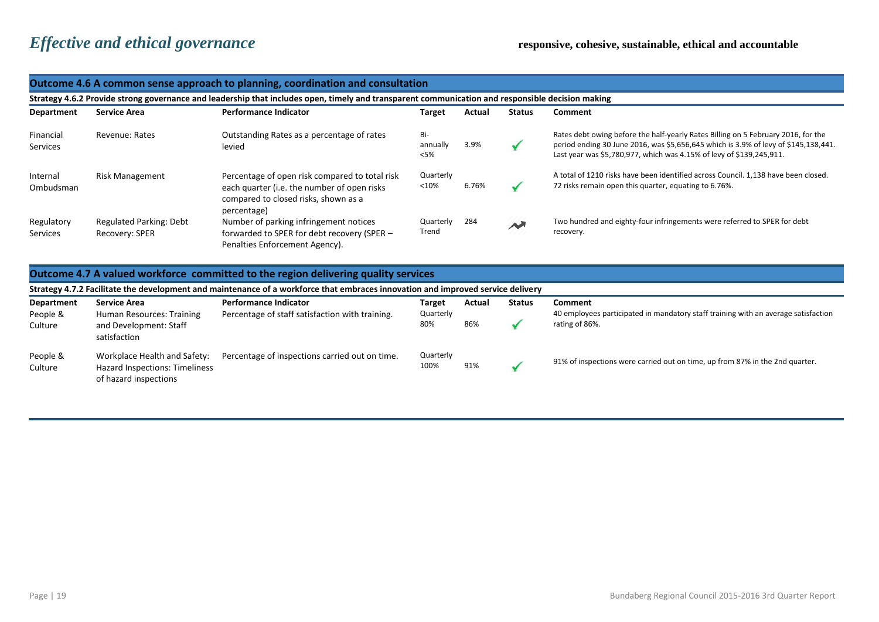of hazard inspections

|                        | Outcome 4.6 A common sense approach to planning, coordination and consultation                                                                   |                                                                                                                                                      |                            |        |                            |                                                                                                                                                                                                                                                  |  |  |  |
|------------------------|--------------------------------------------------------------------------------------------------------------------------------------------------|------------------------------------------------------------------------------------------------------------------------------------------------------|----------------------------|--------|----------------------------|--------------------------------------------------------------------------------------------------------------------------------------------------------------------------------------------------------------------------------------------------|--|--|--|
|                        | Strategy 4.6.2 Provide strong governance and leadership that includes open, timely and transparent communication and responsible decision making |                                                                                                                                                      |                            |        |                            |                                                                                                                                                                                                                                                  |  |  |  |
| <b>Department</b>      | <b>Service Area</b>                                                                                                                              | <b>Performance Indicator</b>                                                                                                                         | Target                     | Actual | <b>Status</b>              | Comment                                                                                                                                                                                                                                          |  |  |  |
| Financial<br>Services  | <b>Revenue: Rates</b>                                                                                                                            | Outstanding Rates as a percentage of rates<br>levied                                                                                                 | Bi-<br>annually<br>$<$ 5%  | 3.9%   | $\checkmark$               | Rates debt owing before the half-yearly Rates Billing on 5 February 2016, for the<br>period ending 30 June 2016, was \$5,656,645 which is 3.9% of levy of \$145,138,441.<br>Last year was \$5,780,977, which was 4.15% of levy of \$139,245,911. |  |  |  |
| Internal<br>Ombudsman  | <b>Risk Management</b>                                                                                                                           | Percentage of open risk compared to total risk<br>each quarter (i.e. the number of open risks<br>compared to closed risks, shown as a<br>percentage) | Quarterly<br>< 10%         | 6.76%  | $\checkmark$               | A total of 1210 risks have been identified across Council. 1,138 have been closed.<br>72 risks remain open this quarter, equating to 6.76%.                                                                                                      |  |  |  |
| Regulatory<br>Services | <b>Regulated Parking: Debt</b><br>Recovery: SPER                                                                                                 | Number of parking infringement notices<br>forwarded to SPER for debt recovery (SPER -<br>Penalties Enforcement Agency).                              | Quarterly<br>Trend         | 284    | $\boldsymbol{\mathcal{N}}$ | Two hundred and eighty-four infringements were referred to SPER for debt<br>recovery.                                                                                                                                                            |  |  |  |
|                        |                                                                                                                                                  | Outcome 4.7 A valued workforce committed to the region delivering quality services                                                                   |                            |        |                            |                                                                                                                                                                                                                                                  |  |  |  |
|                        |                                                                                                                                                  | Strategy 4.7.2 Facilitate the development and maintenance of a workforce that embraces innovation and improved service delivery                      |                            |        |                            |                                                                                                                                                                                                                                                  |  |  |  |
| Department<br>People & | <b>Service Area</b><br>Human Resources: Training                                                                                                 | <b>Performance Indicator</b><br>Percentage of staff satisfaction with training.                                                                      | <b>Target</b><br>Quarterly | Actual | <b>Status</b>              | Comment<br>40 employees participated in mandatory staff training with an average satisfaction                                                                                                                                                    |  |  |  |
| Culture                | and Development: Staff<br>satisfaction                                                                                                           |                                                                                                                                                      | 80%                        | 86%    | $\checkmark$               | rating of 86%.                                                                                                                                                                                                                                   |  |  |  |
| People &<br>Culture    | Workplace Health and Safety:<br>Hazard Inspections: Timeliness                                                                                   | Percentage of inspections carried out on time.                                                                                                       | Quarterly<br>100%          | 91%    | ✔                          | 91% of inspections were carried out on time, up from 87% in the 2nd quarter.                                                                                                                                                                     |  |  |  |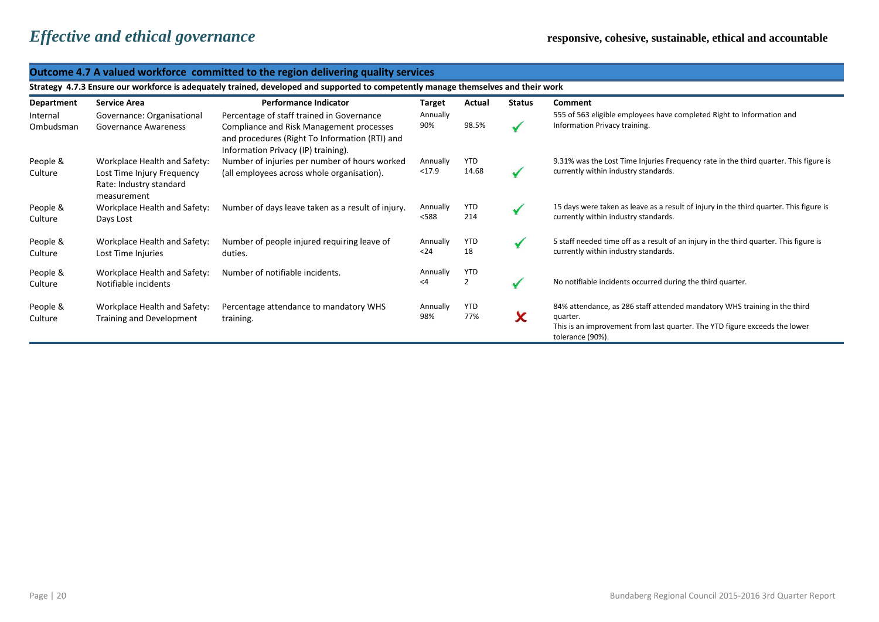### **Outcome 4.7 A valued workforce committed to the region delivering quality services**

**Strategy 4.7.3 Ensure our workforce is adequately trained, developed and supported to competently manage themselves and their work**

| Department          | Service Area                                                         | <b>Performance Indicator</b>                                                                                                      | <b>Target</b>        | Actual                | <b>Status</b> | <b>Comment</b>                                                                                                                                                                          |
|---------------------|----------------------------------------------------------------------|-----------------------------------------------------------------------------------------------------------------------------------|----------------------|-----------------------|---------------|-----------------------------------------------------------------------------------------------------------------------------------------------------------------------------------------|
| Internal            | Governance: Organisational                                           | Percentage of staff trained in Governance                                                                                         | Annually             |                       |               | 555 of 563 eligible employees have completed Right to Information and                                                                                                                   |
| Ombudsman           | <b>Governance Awareness</b>                                          | Compliance and Risk Management processes<br>and procedures (Right To Information (RTI) and<br>Information Privacy (IP) training). | 90%                  | 98.5%                 |               | Information Privacy training.                                                                                                                                                           |
| People &            | Workplace Health and Safety:                                         | Number of injuries per number of hours worked                                                                                     | Annually             | <b>YTD</b>            |               | 9.31% was the Lost Time Injuries Frequency rate in the third quarter. This figure is                                                                                                    |
| Culture             | Lost Time Injury Frequency<br>Rate: Industry standard<br>measurement | (all employees across whole organisation).                                                                                        | < 17.9               | 14.68                 |               | currently within industry standards.                                                                                                                                                    |
| People &<br>Culture | Workplace Health and Safety:<br>Days Lost                            | Number of days leave taken as a result of injury.                                                                                 | Annually<br><588     | <b>YTD</b><br>214     |               | 15 days were taken as leave as a result of injury in the third quarter. This figure is<br>currently within industry standards.                                                          |
| People &<br>Culture | Workplace Health and Safety:<br>Lost Time Injuries                   | Number of people injured requiring leave of<br>duties.                                                                            | Annually<br>$24$     | <b>YTD</b><br>18      |               | 5 staff needed time off as a result of an injury in the third quarter. This figure is<br>currently within industry standards.                                                           |
| People &<br>Culture | Workplace Health and Safety:<br>Notifiable incidents                 | Number of notifiable incidents.                                                                                                   | Annually<br>$\leq 4$ | YTD<br>$\overline{2}$ |               | No notifiable incidents occurred during the third quarter.                                                                                                                              |
| People &<br>Culture | Workplace Health and Safety:<br>Training and Development             | Percentage attendance to mandatory WHS<br>training.                                                                               | Annually<br>98%      | YTD<br>77%            | ᄉ             | 84% attendance, as 286 staff attended mandatory WHS training in the third<br>quarter.<br>This is an improvement from last quarter. The YTD figure exceeds the lower<br>tolerance (90%). |